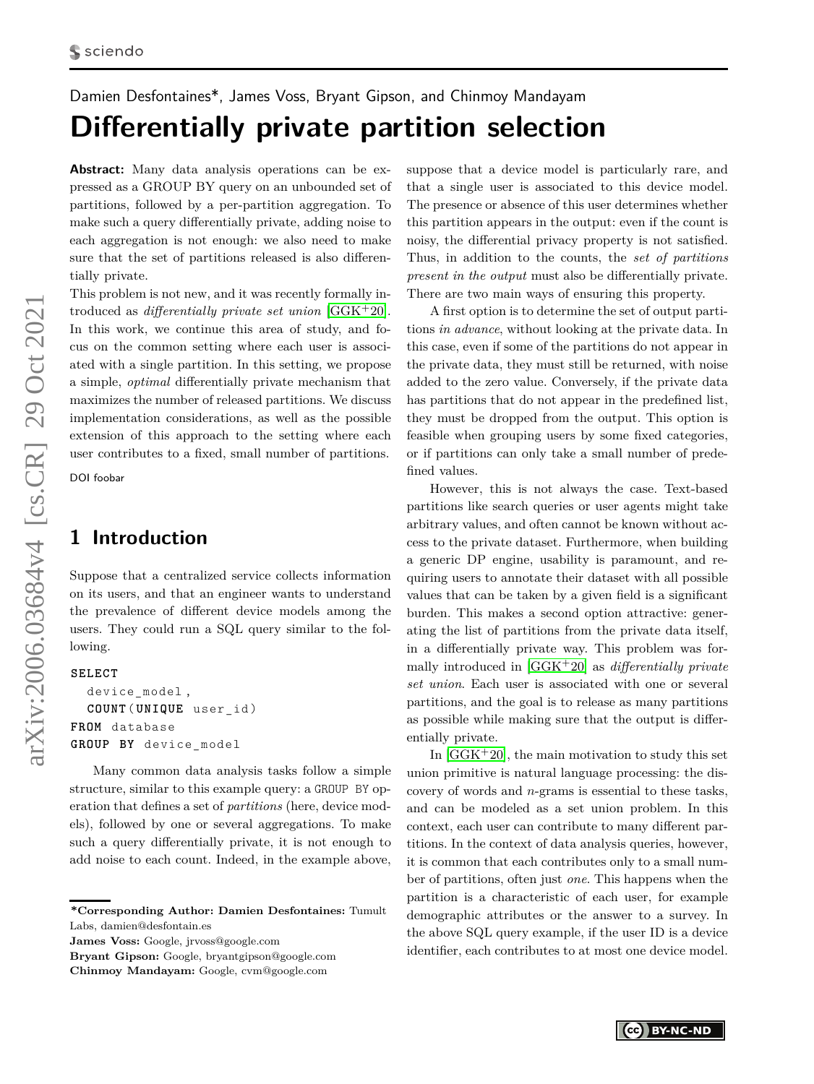# <span id="page-0-0"></span>Damien Desfontaines\*, James Voss, Bryant Gipson, and Chinmoy Mandayam **Differentially private partition selection**

**Abstract:** Many data analysis operations can be expressed as a GROUP BY query on an unbounded set of partitions, followed by a per-partition aggregation. To make such a query differentially private, adding noise to each aggregation is not enough: we also need to make sure that the set of partitions released is also differentially private.

This problem is not new, and it was recently formally introduced as *differentially private set union* [\[GGK](#page-13-0)+20]. In this work, we continue this area of study, and focus on the common setting where each user is associated with a single partition. In this setting, we propose a simple, *optimal* differentially private mechanism that maximizes the number of released partitions. We discuss implementation considerations, as well as the possible extension of this approach to the setting where each user contributes to a fixed, small number of partitions. DOI foobar

## **1 Introduction**

Suppose that a centralized service collects information on its users, and that an engineer wants to understand the prevalence of different device models among the users. They could run a SQL query similar to the following.

### **SELECT**

```
device_model ,
  COUNT ( UNIQUE user_id )
FROM database
GROUP BY device_model
```
Many common data analysis tasks follow a simple structure, similar to this example query: a GROUP BY operation that defines a set of *partitions* (here, device models), followed by one or several aggregations. To make such a query differentially private, it is not enough to add noise to each count. Indeed, in the example above,

**Bryant Gipson:** Google, bryantgipson@google.com **Chinmoy Mandayam:** Google, cvm@google.com

suppose that a device model is particularly rare, and that a single user is associated to this device model. The presence or absence of this user determines whether this partition appears in the output: even if the count is noisy, the differential privacy property is not satisfied. Thus, in addition to the counts, the *set of partitions present in the output* must also be differentially private. There are two main ways of ensuring this property.

A first option is to determine the set of output partitions *in advance*, without looking at the private data. In this case, even if some of the partitions do not appear in the private data, they must still be returned, with noise added to the zero value. Conversely, if the private data has partitions that do not appear in the predefined list, they must be dropped from the output. This option is feasible when grouping users by some fixed categories, or if partitions can only take a small number of predefined values.

However, this is not always the case. Text-based partitions like search queries or user agents might take arbitrary values, and often cannot be known without access to the private dataset. Furthermore, when building a generic DP engine, usability is paramount, and requiring users to annotate their dataset with all possible values that can be taken by a given field is a significant burden. This makes a second option attractive: generating the list of partitions from the private data itself, in a differentially private way. This problem was formally introduced in [\[GGK](#page-13-0)+20] as *differentially private set union*. Each user is associated with one or several partitions, and the goal is to release as many partitions as possible while making sure that the output is differentially private.

In  $[GGK^+20]$  $[GGK^+20]$ , the main motivation to study this set union primitive is natural language processing: the discovery of words and *n*-grams is essential to these tasks, and can be modeled as a set union problem. In this context, each user can contribute to many different partitions. In the context of data analysis queries, however, it is common that each contributes only to a small number of partitions, often just *one*. This happens when the partition is a characteristic of each user, for example demographic attributes or the answer to a survey. In the above SQL query example, if the user ID is a device identifier, each contributes to at most one device model.

**<sup>\*</sup>Corresponding Author: Damien Desfontaines:** Tumult Labs, damien@desfontain.es

**James Voss:** Google, jrvoss@google.com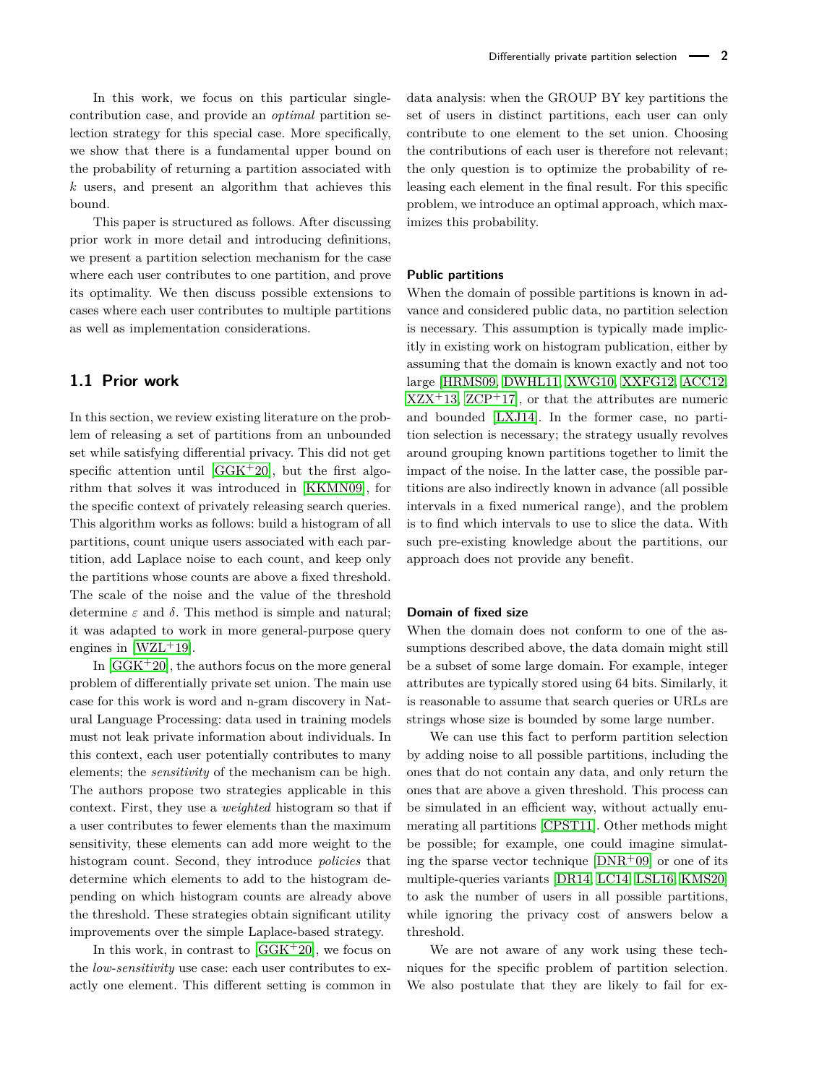In this work, we focus on this particular singlecontribution case, and provide an *optimal* partition selection strategy for this special case. More specifically, we show that there is a fundamental upper bound on the probability of returning a partition associated with *k* users, and present an algorithm that achieves this bound.

This paper is structured as follows. After discussing prior work in more detail and introducing definitions, we present a partition selection mechanism for the case where each user contributes to one partition, and prove its optimality. We then discuss possible extensions to cases where each user contributes to multiple partitions as well as implementation considerations.

### **1.1 Prior work**

In this section, we review existing literature on the problem of releasing a set of partitions from an unbounded set while satisfying differential privacy. This did not get specific attention until  $[GGK^+20]$  $[GGK^+20]$ , but the first algorithm that solves it was introduced in [\[KKMN09\]](#page-13-1), for the specific context of privately releasing search queries. This algorithm works as follows: build a histogram of all partitions, count unique users associated with each partition, add Laplace noise to each count, and keep only the partitions whose counts are above a fixed threshold. The scale of the noise and the value of the threshold determine *ε* and *δ*. This method is simple and natural; it was adapted to work in more general-purpose query engines in  $[WZL+19]$  $[WZL+19]$ .

In  $[GGK^+20]$  $[GGK^+20]$ , the authors focus on the more general problem of differentially private set union. The main use case for this work is word and n-gram discovery in Natural Language Processing: data used in training models must not leak private information about individuals. In this context, each user potentially contributes to many elements; the *sensitivity* of the mechanism can be high. The authors propose two strategies applicable in this context. First, they use a *weighted* histogram so that if a user contributes to fewer elements than the maximum sensitivity, these elements can add more weight to the histogram count. Second, they introduce *policies* that determine which elements to add to the histogram depending on which histogram counts are already above the threshold. These strategies obtain significant utility improvements over the simple Laplace-based strategy.

In this work, in contrast to  $[GGK^+20]$  $[GGK^+20]$ , we focus on the *low-sensitivity* use case: each user contributes to exactly one element. This different setting is common in

data analysis: when the GROUP BY key partitions the set of users in distinct partitions, each user can only contribute to one element to the set union. Choosing the contributions of each user is therefore not relevant; the only question is to optimize the probability of releasing each element in the final result. For this specific problem, we introduce an optimal approach, which maximizes this probability.

### **Public partitions**

When the domain of possible partitions is known in advance and considered public data, no partition selection is necessary. This assumption is typically made implicitly in existing work on histogram publication, either by assuming that the domain is known exactly and not too large [\[HRMS09,](#page-13-3) [DWHL11,](#page-13-4) [XWG10,](#page-13-5) [XXFG12,](#page-13-6) [ACC12,](#page-12-0)  $XZX<sup>+</sup>13, ZCP<sup>+</sup>17$  $XZX<sup>+</sup>13, ZCP<sup>+</sup>17$  $XZX<sup>+</sup>13, ZCP<sup>+</sup>17$  $XZX<sup>+</sup>13, ZCP<sup>+</sup>17$ , or that the attributes are numeric and bounded [\[LXJ14\]](#page-13-9). In the former case, no partition selection is necessary; the strategy usually revolves around grouping known partitions together to limit the impact of the noise. In the latter case, the possible partitions are also indirectly known in advance (all possible intervals in a fixed numerical range), and the problem is to find which intervals to use to slice the data. With such pre-existing knowledge about the partitions, our approach does not provide any benefit.

#### **Domain of fixed size**

When the domain does not conform to one of the assumptions described above, the data domain might still be a subset of some large domain. For example, integer attributes are typically stored using 64 bits. Similarly, it is reasonable to assume that search queries or URLs are strings whose size is bounded by some large number.

We can use this fact to perform partition selection by adding noise to all possible partitions, including the ones that do not contain any data, and only return the ones that are above a given threshold. This process can be simulated in an efficient way, without actually enumerating all partitions [\[CPST11\]](#page-13-10). Other methods might be possible; for example, one could imagine simulating the sparse vector technique  $[DNR^+09]$  $[DNR^+09]$  or one of its multiple-queries variants [\[DR14,](#page-13-12) [LC14,](#page-13-13) [LSL16,](#page-13-14) [KMS20\]](#page-13-15) to ask the number of users in all possible partitions, while ignoring the privacy cost of answers below a threshold.

We are not aware of any work using these techniques for the specific problem of partition selection. We also postulate that they are likely to fail for ex-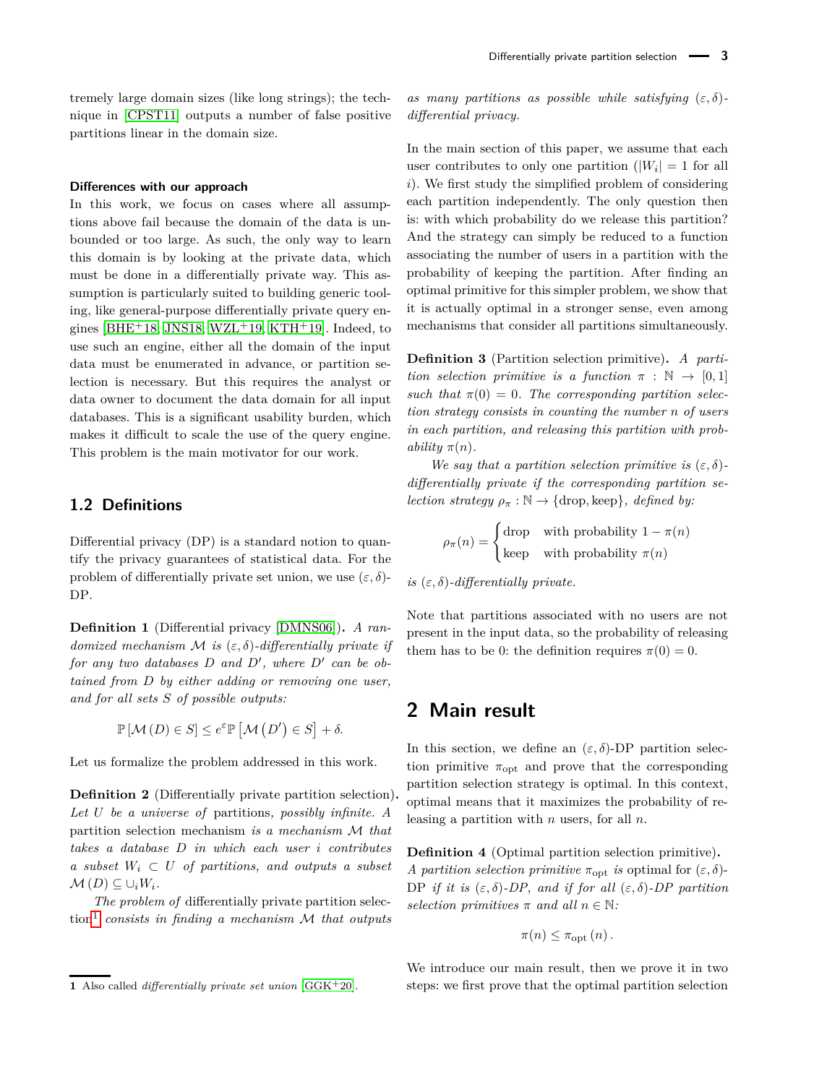tremely large domain sizes (like long strings); the technique in [\[CPST11\]](#page-13-10) outputs a number of false positive partitions linear in the domain size.

#### **Differences with our approach**

In this work, we focus on cases where all assumptions above fail because the domain of the data is unbounded or too large. As such, the only way to learn this domain is by looking at the private data, which must be done in a differentially private way. This assumption is particularly suited to building generic tooling, like general-purpose differentially private query en-gines [\[BHE](#page-12-1)<sup>+</sup>18, [JNS18,](#page-13-16) [WZL](#page-13-2)<sup>+</sup>19, [KTH](#page-13-17)<sup>+</sup>19]. Indeed, to use such an engine, either all the domain of the input data must be enumerated in advance, or partition selection is necessary. But this requires the analyst or data owner to document the data domain for all input databases. This is a significant usability burden, which makes it difficult to scale the use of the query engine. This problem is the main motivator for our work.

### **1.2 Definitions**

Differential privacy (DP) is a standard notion to quantify the privacy guarantees of statistical data. For the problem of differentially private set union, we use  $(\varepsilon, \delta)$ -DP.

**Definition 1** (Differential privacy [\[DMNS06\]](#page-13-18))**.** *A randomized mechanism* M *is* (*ε, δ*)*-differentially private if*  $for any two databases D and D', where D' can be obtained.$ *tained from D by either adding or removing one user, and for all sets S of possible outputs:*

$$
\mathbb{P}[\mathcal{M}(D) \in S] \le e^{\varepsilon} \mathbb{P}[\mathcal{M}(D') \in S] + \delta.
$$

Let us formalize the problem addressed in this work.

**Definition 2** (Differentially private partition selection)**.** *Let U be a universe of* partitions*, possibly infinite. A* partition selection mechanism *is a mechanism* M *that takes a database D in which each user i contributes a subset*  $W_i$  ⊂ *U of partitions, and outputs a subset*  $M(D) \subseteq \cup_i W_i$ .

*The problem of* differentially private partition selection[1](#page-0-0) *consists in finding a mechanism* M *that outputs* *as many partitions as possible while satisfying*  $(\varepsilon, \delta)$ *differential privacy.*

In the main section of this paper, we assume that each user contributes to only one partition  $(|W_i| = 1$  for all *i*). We first study the simplified problem of considering each partition independently. The only question then is: with which probability do we release this partition? And the strategy can simply be reduced to a function associating the number of users in a partition with the probability of keeping the partition. After finding an optimal primitive for this simpler problem, we show that it is actually optimal in a stronger sense, even among mechanisms that consider all partitions simultaneously.

**Definition 3** (Partition selection primitive)**.** *A partition selection primitive is a function*  $\pi : \mathbb{N} \to [0,1]$ such that  $\pi(0) = 0$ . The corresponding partition selec*tion strategy consists in counting the number n of users in each partition, and releasing this partition with probability*  $\pi(n)$ *.* 

*We say that a partition selection primitive is*  $(\varepsilon, \delta)$ *differentially private if the corresponding partition selection strategy*  $\rho_{\pi} : \mathbb{N} \to \{\text{drop}, \text{keep}\}, \text{ defined by:}\$ 

$$
\rho_{\pi}(n) = \begin{cases} \text{drop} & \text{with probability } 1 - \pi(n) \\ \text{keep} & \text{with probability } \pi(n) \end{cases}
$$

*is* (*ε, δ*)*-differentially private.*

Note that partitions associated with no users are not present in the input data, so the probability of releasing them has to be 0: the definition requires  $\pi(0) = 0$ .

### **2 Main result**

In this section, we define an  $(\varepsilon, \delta)$ -DP partition selection primitive  $\pi_{opt}$  and prove that the corresponding partition selection strategy is optimal. In this context, optimal means that it maximizes the probability of releasing a partition with *n* users, for all *n*.

<span id="page-2-0"></span>**Definition 4** (Optimal partition selection primitive)**.** *A partition selection primitive*  $\pi_{\text{opt}}$  *is* optimal for  $(\varepsilon, \delta)$ -DP *if it is* (*ε, δ*)*-DP, and if for all* (*ε, δ*)*-DP partition selection primitives*  $\pi$  *and all*  $n \in \mathbb{N}$ *:* 

$$
\pi(n) \leq \pi_{\text{opt}}(n).
$$

We introduce our main result, then we prove it in two steps: we first prove that the optimal partition selection

**<sup>1</sup>** Also called *differentially private set union* [\[GGK](#page-13-0)+20].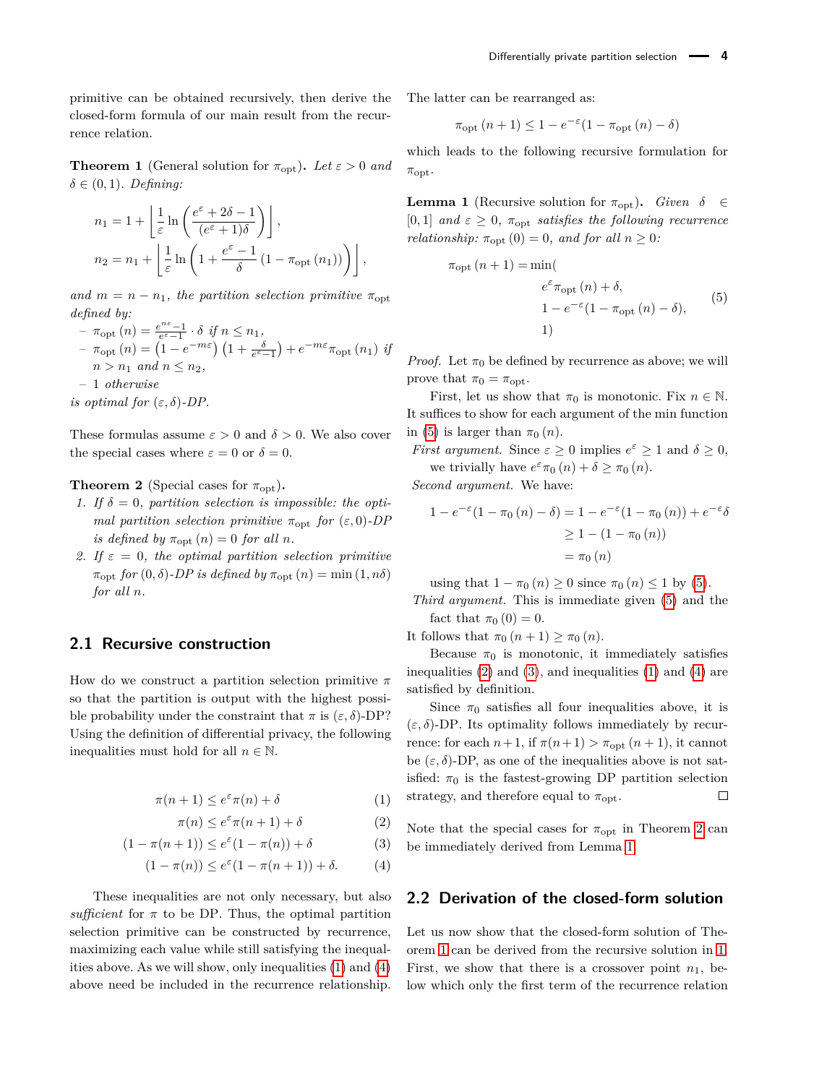primitive can be obtained recursively, then derive the closed-form formula of our main result from the recurrence relation.

<span id="page-3-7"></span>**Theorem 1** (General solution for  $\pi_{opt}$ ). Let  $\varepsilon > 0$  and  $\delta \in (0,1)$ *. Defining:* 

$$
n_1 = 1 + \left\lfloor \frac{1}{\varepsilon} \ln \left( \frac{e^{\varepsilon} + 2\delta - 1}{(e^{\varepsilon} + 1)\delta} \right) \right\rfloor,
$$
  
\n
$$
n_2 = n_1 + \left\lfloor \frac{1}{\varepsilon} \ln \left( 1 + \frac{e^{\varepsilon} - 1}{\delta} \left( 1 - \pi_{\text{opt}} \left( n_1 \right) \right) \right) \right\rfloor,
$$

*and*  $m = n - n_1$ *, the partition selection primitive*  $\pi_{\text{opt}}$ *defined by:*

$$
- \pi_{\text{opt}}(n) = \frac{e^{n\varepsilon} - 1}{e^{\varepsilon} - 1} \cdot \delta \text{ if } n \le n_1,
$$
  
\n
$$
- \pi_{\text{opt}}(n) = \left(1 - e^{-m\varepsilon}\right) \left(1 + \frac{\delta}{e^{\varepsilon} - 1}\right) + e^{-m\varepsilon} \pi_{\text{opt}}(n_1) \text{ if}
$$
  
\n
$$
n > n_1 \text{ and } n \le n_2,
$$
  
\n
$$
- 1 \text{ otherwise}
$$

*is optimal for*  $(\varepsilon, \delta)$ -*DP.* 

These formulas assume  $\varepsilon > 0$  and  $\delta > 0$ . We also cover the special cases where  $\varepsilon = 0$  or  $\delta = 0$ .

#### <span id="page-3-5"></span>**Theorem 2** (Special cases for  $\pi_{\text{opt}}$ ).

- 1. If  $\delta = 0$ , partition selection is impossible: the opti*mal partition selection primitive*  $\pi_{opt}$  *for*  $(\varepsilon, 0)$ *-DP is defined by*  $\pi_{\text{opt}}(n) = 0$  *for all n*.
- *2.* If  $\varepsilon = 0$ , the optimal partition selection primitive  $\pi_{\text{opt}}$  *for*  $(0, \delta)$ *-DP is defined by*  $\pi_{\text{opt}}(n) = \min(1, n\delta)$ *for all n.*

### <span id="page-3-8"></span>**2.1 Recursive construction**

How do we construct a partition selection primitive *π* so that the partition is output with the highest possible probability under the constraint that  $\pi$  is  $(\varepsilon, \delta)$ -DP? Using the definition of differential privacy, the following inequalities must hold for all  $n \in \mathbb{N}$ .

$$
\pi(n+1) \le e^{\varepsilon} \pi(n) + \delta \tag{1}
$$

$$
\pi(n) \le e^{\varepsilon} \pi(n+1) + \delta \tag{2}
$$

$$
(1 - \pi(n+1)) \le e^{\varepsilon}(1 - \pi(n)) + \delta \tag{3}
$$

$$
(1 - \pi(n)) \le e^{\varepsilon} (1 - \pi(n+1)) + \delta. \tag{4}
$$

These inequalities are not only necessary, but also *sufficient* for  $\pi$  to be DP. Thus, the optimal partition selection primitive can be constructed by recurrence, maximizing each value while still satisfying the inequalities above. As we will show, only inequalities [\(1\)](#page-3-0) and [\(4\)](#page-3-1) above need be included in the recurrence relationship.

The latter can be rearranged as:

$$
\pi_{\text{opt}}(n+1) \le 1 - e^{-\varepsilon} (1 - \pi_{\text{opt}}(n) - \delta)
$$

which leads to the following recursive formulation for *π*opt.

<span id="page-3-6"></span>**Lemma 1** (Recursive solution for  $\pi_{\text{opt}}$ ). *Given*  $\delta \in$  $[0, 1]$  *and*  $\varepsilon \geq 0$ ,  $\pi_{opt}$  *satisfies the following recurrence relationship:*  $\pi_{\text{opt}}(0) = 0$ *, and for all*  $n \geq 0$ *:* 

<span id="page-3-2"></span>
$$
\pi_{\text{opt}}(n+1) = \min(\n\begin{cases}\ne^{\varepsilon} \pi_{\text{opt}}(n) + \delta, \\
1 - e^{-\varepsilon} (1 - \pi_{\text{opt}}(n) - \delta), \\
1)\n\end{cases}
$$
\n(5)

*Proof.* Let  $\pi_0$  be defined by recurrence as above; we will prove that  $\pi_0 = \pi_{\text{opt}}$ .

First, let us show that  $\pi_0$  is monotonic. Fix  $n \in \mathbb{N}$ . It suffices to show for each argument of the min function in [\(5\)](#page-3-2) is larger than  $\pi_0(n)$ .

*First argument.* Since  $\varepsilon \geq 0$  implies  $e^{\varepsilon} \geq 1$  and  $\delta \geq 0$ , we trivially have  $e^{\varepsilon} \pi_0(n) + \delta \geq \pi_0(n)$ .

*Second argument.* We have:

$$
1 - e^{-\varepsilon} (1 - \pi_0 (n) - \delta) = 1 - e^{-\varepsilon} (1 - \pi_0 (n)) + e^{-\varepsilon} \delta
$$
  
\n
$$
\geq 1 - (1 - \pi_0 (n))
$$
  
\n
$$
= \pi_0 (n)
$$

using that  $1 - \pi_0(n) \geq 0$  since  $\pi_0(n) \leq 1$  by [\(5\)](#page-3-2). *Third argument.* This is immediate given [\(5\)](#page-3-2) and the fact that  $\pi_0$  (0) = 0.

It follows that  $\pi_0$   $(n+1) \geq \pi_0$   $(n)$ .

Because  $\pi_0$  is monotonic, it immediately satisfies inequalities  $(2)$  and  $(3)$ , and inequalities  $(1)$  and  $(4)$  are satisfied by definition.

Since  $\pi_0$  satisfies all four inequalities above, it is  $(\varepsilon, \delta)$ -DP. Its optimality follows immediately by recurrence: for each  $n+1$ , if  $\pi(n+1) > \pi_{\text{opt}}(n+1)$ , it cannot be  $(\varepsilon, \delta)$ -DP, as one of the inequalities above is not satisfied:  $\pi_0$  is the fastest-growing DP partition selection strategy, and therefore equal to  $\pi_{\text{opt}}$ . П

<span id="page-3-4"></span><span id="page-3-3"></span><span id="page-3-1"></span><span id="page-3-0"></span>Note that the special cases for  $\pi_{\text{opt}}$  in Theorem [2](#page-3-5) can be immediately derived from Lemma [1.](#page-3-6)

### **2.2 Derivation of the closed-form solution**

Let us now show that the closed-form solution of Theorem [1](#page-3-7) can be derived from the recursive solution in [1.](#page-3-6) First, we show that there is a crossover point  $n_1$ , below which only the first term of the recurrence relation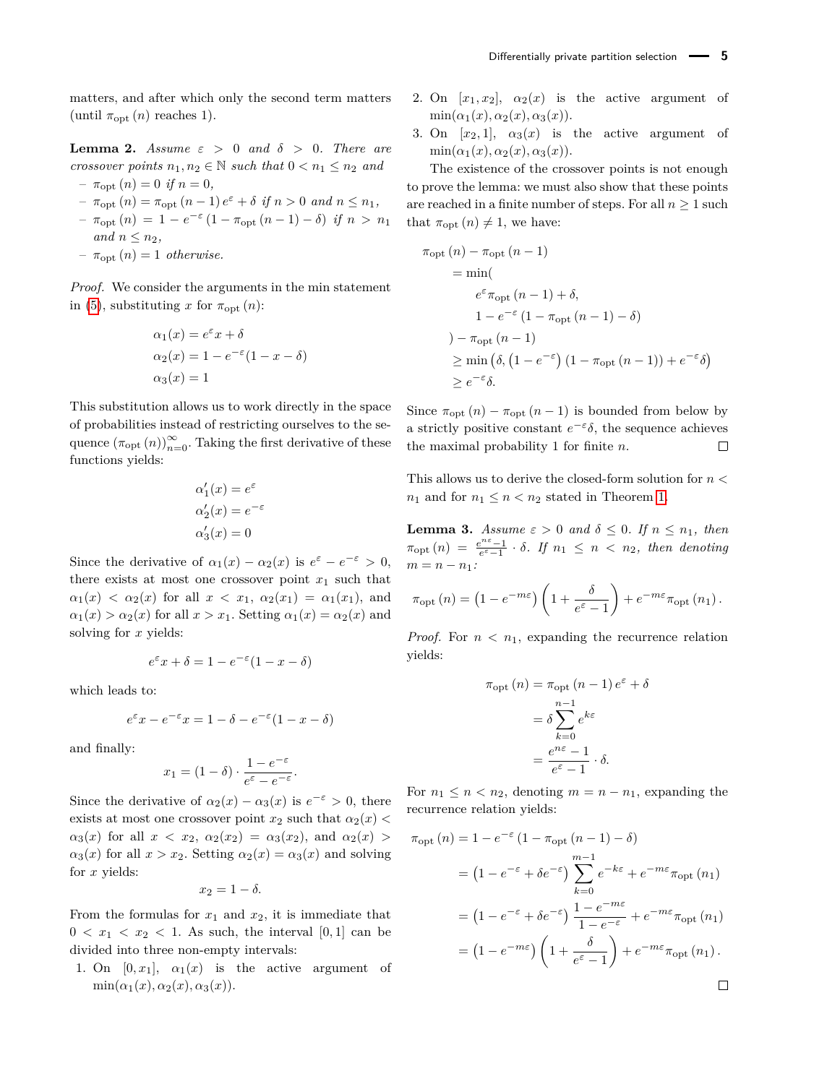matters, and after which only the second term matters (until  $\pi_{\text{opt}}(n)$  reaches 1).

<span id="page-4-0"></span>**Lemma 2.** *Assume*  $\varepsilon > 0$  *and*  $\delta > 0$ *. There are crossover points*  $n_1, n_2 \in \mathbb{N}$  *such that*  $0 \leq n_1 \leq n_2$  *and* 

- $\pi_{\text{opt}}(n) = 0 \text{ if } n = 0,$
- $-\pi_{\text{opt}}(n) = \pi_{\text{opt}}(n-1) e^{\varepsilon} + \delta \text{ if } n > 0 \text{ and } n \leq n_1,$
- $\pi_{\text{opt}}(n) = 1 e^{-\varepsilon} (1 \pi_{\text{opt}}(n-1) \delta) \text{ if } n > n_1$ *and*  $n \leq n_2$ *,*
- $-\pi_{\text{opt}}(n) = 1$  *otherwise.*

*Proof.* We consider the arguments in the min statement in [\(5\)](#page-3-2), substituting *x* for  $\pi_{opt}(n)$ :

$$
\alpha_1(x) = e^{\varepsilon} x + \delta
$$
  
\n
$$
\alpha_2(x) = 1 - e^{-\varepsilon} (1 - x - \delta)
$$
  
\n
$$
\alpha_3(x) = 1
$$

This substitution allows us to work directly in the space of probabilities instead of restricting ourselves to the sequence  $(\pi_{\text{opt}}(n))_{n=0}^{\infty}$ . Taking the first derivative of these functions yields:

$$
\alpha'_1(x) = e^{\varepsilon}
$$
  
\n
$$
\alpha'_2(x) = e^{-\varepsilon}
$$
  
\n
$$
\alpha'_3(x) = 0
$$

Since the derivative of  $\alpha_1(x) - \alpha_2(x)$  is  $e^{\varepsilon} - e^{-\varepsilon} > 0$ , there exists at most one crossover point  $x_1$  such that  $\alpha_1(x) < \alpha_2(x)$  for all  $x < x_1, \alpha_2(x_1) = \alpha_1(x_1)$ , and  $\alpha_1(x) > \alpha_2(x)$  for all  $x > x_1$ . Setting  $\alpha_1(x) = \alpha_2(x)$  and solving for *x* yields:

$$
e^{\varepsilon}x + \delta = 1 - e^{-\varepsilon}(1 - x - \delta)
$$

which leads to:

$$
e^{\varepsilon}x - e^{-\varepsilon}x = 1 - \delta - e^{-\varepsilon}(1 - x - \delta)
$$

and finally:

$$
x_1=(1-\delta)\cdot\frac{1-e^{-\varepsilon}}{e^{\varepsilon}-e^{-\varepsilon}}.
$$

Since the derivative of  $\alpha_2(x) - \alpha_3(x)$  is  $e^{-\epsilon} > 0$ , there exists at most one crossover point  $x_2$  such that  $\alpha_2(x)$  $\alpha_3(x)$  for all  $x < x_2$ ,  $\alpha_2(x_2) = \alpha_3(x_2)$ , and  $\alpha_2(x)$  $\alpha_3(x)$  for all  $x > x_2$ . Setting  $\alpha_2(x) = \alpha_3(x)$  and solving for *x* yields:

$$
x_2=1-\delta.
$$

From the formulas for  $x_1$  and  $x_2$ , it is immediate that  $0 < x_1 < x_2 < 1$ . As such, the interval [0,1] can be divided into three non-empty intervals:

1. On  $[0, x_1]$ ,  $\alpha_1(x)$  is the active argument of  $\min(\alpha_1(x), \alpha_2(x), \alpha_3(x)).$ 

- 2. On  $[x_1, x_2]$ ,  $\alpha_2(x)$  is the active argument of  $\min(\alpha_1(x), \alpha_2(x), \alpha_3(x)).$
- 3. On  $[x_2, 1]$ ,  $\alpha_3(x)$  is the active argument of  $\min(\alpha_1(x), \alpha_2(x), \alpha_3(x)).$

The existence of the crossover points is not enough to prove the lemma: we must also show that these points are reached in a finite number of steps. For all  $n \geq 1$  such that  $\pi_{opt}(n) \neq 1$ , we have:

$$
\pi_{\text{opt}}(n) - \pi_{\text{opt}}(n-1)
$$
\n
$$
= \min\left(\begin{array}{c} e^{\varepsilon} \pi_{\text{opt}}(n-1) + \delta, \\ 1 - e^{-\varepsilon} (1 - \pi_{\text{opt}}(n-1) - \delta) \end{array}\right)
$$
\n
$$
- \pi_{\text{opt}}(n-1)
$$
\n
$$
\geq \min\left(\delta, \left(1 - e^{-\varepsilon}\right) (1 - \pi_{\text{opt}}(n-1)) + e^{-\varepsilon} \delta\right)
$$
\n
$$
\geq e^{-\varepsilon} \delta.
$$

Since  $\pi_{\text{opt}}(n) - \pi_{\text{opt}}(n-1)$  is bounded from below by a strictly positive constant  $e^{-\varepsilon}$ *δ*, the sequence achieves the maximal probability 1 for finite *n*.  $\Box$ 

This allows us to derive the closed-form solution for *n <*  $n_1$  and for  $n_1 \leq n \leq n_2$  stated in Theorem [1.](#page-3-7)

**Lemma 3.** *Assume*  $\varepsilon > 0$  *and*  $\delta \leq 0$ *. If*  $n \leq n_1$ *, then*  $\pi_{\text{opt}}(n) = \frac{e^{n\varepsilon}-1}{e^{\varepsilon}-1} \cdot \delta$ . If  $n_1 \leq n \leq n_2$ , then denoting  $m = n - n_1$ :

$$
\pi_{\text{opt}}(n) = \left(1 - e^{-m\varepsilon}\right) \left(1 + \frac{\delta}{e^{\varepsilon} - 1}\right) + e^{-m\varepsilon} \pi_{\text{opt}}(n_1).
$$

*Proof.* For  $n < n_1$ , expanding the recurrence relation yields:

$$
\pi_{\text{opt}}(n) = \pi_{\text{opt}}(n-1) e^{\varepsilon} + \delta
$$

$$
= \delta \sum_{k=0}^{n-1} e^{k\varepsilon}
$$

$$
= \frac{e^{n\varepsilon} - 1}{e^{\varepsilon} - 1} \cdot \delta.
$$

For  $n_1 \leq n < n_2$ , denoting  $m = n - n_1$ , expanding the recurrence relation yields:

$$
\pi_{\text{opt}}(n) = 1 - e^{-\varepsilon} (1 - \pi_{\text{opt}}(n - 1) - \delta)
$$
  
\n
$$
= (1 - e^{-\varepsilon} + \delta e^{-\varepsilon}) \sum_{k=0}^{m-1} e^{-k\varepsilon} + e^{-m\varepsilon} \pi_{\text{opt}}(n_1)
$$
  
\n
$$
= (1 - e^{-\varepsilon} + \delta e^{-\varepsilon}) \frac{1 - e^{-m\varepsilon}}{1 - e^{-\varepsilon}} + e^{-m\varepsilon} \pi_{\text{opt}}(n_1)
$$
  
\n
$$
= (1 - e^{-m\varepsilon}) \left( 1 + \frac{\delta}{e^{\varepsilon} - 1} \right) + e^{-m\varepsilon} \pi_{\text{opt}}(n_1).
$$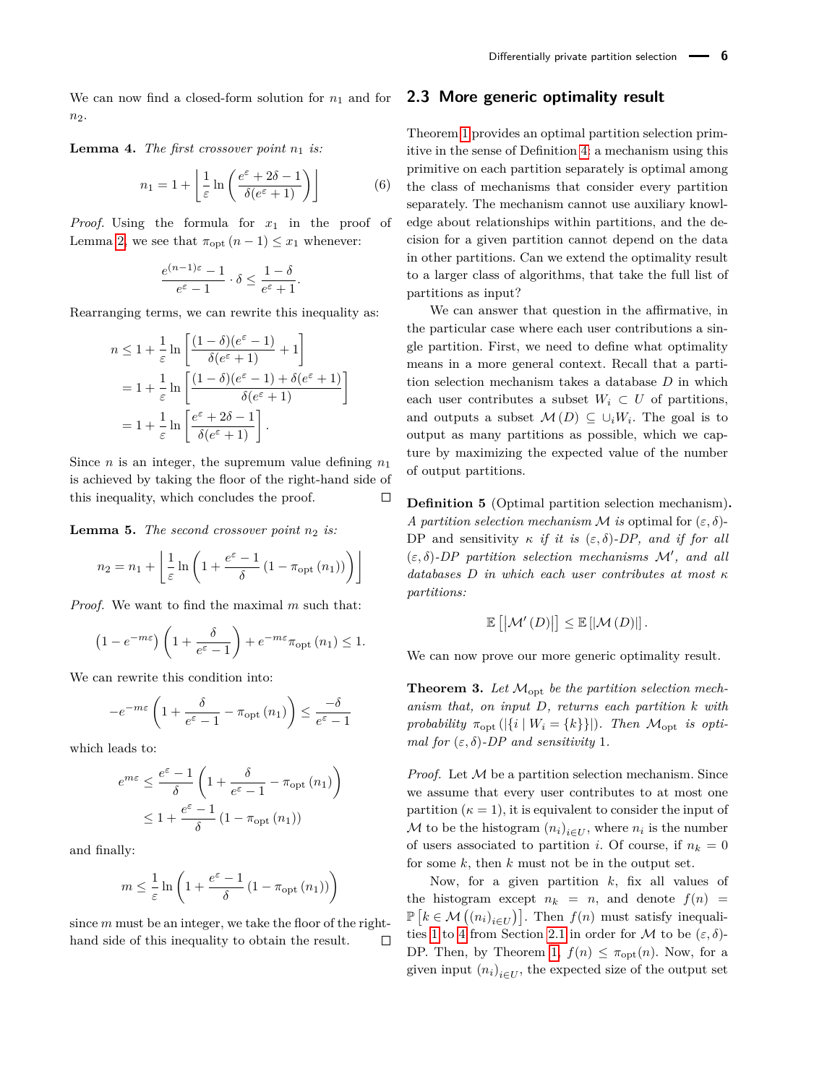We can now find a closed-form solution for  $n_1$  and for *n*2.

**Lemma 4.** *The first crossover point*  $n_1$  *is:* 

$$
n_1 = 1 + \left\lfloor \frac{1}{\varepsilon} \ln \left( \frac{e^{\varepsilon} + 2\delta - 1}{\delta(e^{\varepsilon} + 1)} \right) \right\rfloor \tag{6}
$$

*Proof.* Using the formula for  $x_1$  in the proof of Lemma [2,](#page-4-0) we see that  $\pi_{\text{opt}}(n-1) \leq x_1$  whenever:

$$
\frac{e^{(n-1)\varepsilon}-1}{e^{\varepsilon}-1}\cdot\delta\leq\frac{1-\delta}{e^{\varepsilon}+1}.
$$

Rearranging terms, we can rewrite this inequality as:

$$
n \le 1 + \frac{1}{\varepsilon} \ln \left[ \frac{(1-\delta)(e^{\varepsilon} - 1)}{\delta(e^{\varepsilon} + 1)} + 1 \right]
$$
  
=  $1 + \frac{1}{\varepsilon} \ln \left[ \frac{(1-\delta)(e^{\varepsilon} - 1) + \delta(e^{\varepsilon} + 1)}{\delta(e^{\varepsilon} + 1)} \right]$   
=  $1 + \frac{1}{\varepsilon} \ln \left[ \frac{e^{\varepsilon} + 2\delta - 1}{\delta(e^{\varepsilon} + 1)} \right].$ 

Since *n* is an integer, the supremum value defining  $n_1$ is achieved by taking the floor of the right-hand side of this inequality, which concludes the proof.  $\Box$ 

**Lemma 5.** *The second crossover point*  $n_2$  *is:* 

$$
n_2 = n_1 + \left\lfloor \frac{1}{\varepsilon} \ln \left( 1 + \frac{e^{\varepsilon} - 1}{\delta} \left( 1 - \pi_{\text{opt}} \left( n_1 \right) \right) \right) \right\rfloor
$$

*Proof.* We want to find the maximal *m* such that:

$$
\left(1 - e^{-m\varepsilon}\right) \left(1 + \frac{\delta}{e^{\varepsilon} - 1}\right) + e^{-m\varepsilon} \pi_{\text{opt}}\left(n_1\right) \le 1.
$$

We can rewrite this condition into:

$$
-e^{-m\varepsilon} \left( 1 + \frac{\delta}{e^{\varepsilon} - 1} - \pi_{\text{opt}}(n_1) \right) \le \frac{-\delta}{e^{\varepsilon} - 1}
$$

which leads to:

$$
e^{m\varepsilon} \le \frac{e^{\varepsilon} - 1}{\delta} \left( 1 + \frac{\delta}{e^{\varepsilon} - 1} - \pi_{\text{opt}}(n_1) \right)
$$

$$
\le 1 + \frac{e^{\varepsilon} - 1}{\delta} \left( 1 - \pi_{\text{opt}}(n_1) \right)
$$

and finally:

$$
m \leq \frac{1}{\varepsilon} \ln \left( 1 + \frac{e^{\varepsilon} - 1}{\delta} \left( 1 - \pi_{\text{opt}} \left( n_1 \right) \right) \right)
$$

since *m* must be an integer, we take the floor of the righthand side of this inequality to obtain the result.  $\Box$ 

### **2.3 More generic optimality result**

Theorem [1](#page-3-7) provides an optimal partition selection primitive in the sense of Definition [4:](#page-2-0) a mechanism using this primitive on each partition separately is optimal among the class of mechanisms that consider every partition separately. The mechanism cannot use auxiliary knowledge about relationships within partitions, and the decision for a given partition cannot depend on the data in other partitions. Can we extend the optimality result to a larger class of algorithms, that take the full list of partitions as input?

We can answer that question in the affirmative, in the particular case where each user contributions a single partition. First, we need to define what optimality means in a more general context. Recall that a partition selection mechanism takes a database *D* in which each user contributes a subset  $W_i \subset U$  of partitions, and outputs a subset  $\mathcal{M}(D) \subseteq \cup_i W_i$ . The goal is to output as many partitions as possible, which we capture by maximizing the expected value of the number of output partitions.

**Definition 5** (Optimal partition selection mechanism)**.** *A partition selection mechanism M is* optimal for  $(\varepsilon, \delta)$ -DP and sensitivity  $\kappa$  *if it is*  $(\varepsilon, \delta)$ -DP, and *if for all*  $(\varepsilon, \delta)$ -DP partition selection mechanisms  $\mathcal{M}'$ , and all *databases D in which each user contributes at most κ partitions:*

$$
\mathbb{E}\left[\left|\mathcal{M}'\left(D\right)\right|\right] \leq \mathbb{E}\left[\left|\mathcal{M}\left(D\right)\right|\right].
$$

We can now prove our more generic optimality result.

**Theorem 3.** *Let* Mopt *be the partition selection mechanism that, on input D, returns each partition k with probability*  $\pi_{opt}(|\{i \mid W_i = \{k\}\}|)$ *. Then*  $\mathcal{M}_{opt}$  *is optimal for*  $(\varepsilon, \delta)$ -*DP and sensitivity* 1*.* 

*Proof.* Let M be a partition selection mechanism. Since we assume that every user contributes to at most one partition  $(\kappa = 1)$ , it is equivalent to consider the input of  $M$  to be the histogram  $(n_i)_{i \in U}$ , where  $n_i$  is the number of users associated to partition *i*. Of course, if  $n_k = 0$ for some *k*, then *k* must not be in the output set.

Now, for a given partition *k*, fix all values of the histogram except  $n_k = n$ , and denote  $f(n) =$  $\mathbb{P}\left[k \in \mathcal{M}\left(\left(n_i\right)_{i \in U}\right)\right]$ . Then  $f(n)$  must satisfy inequali-ties [1](#page-3-0) to [4](#page-3-1) from Section [2.1](#page-3-8) in order for M to be  $(\varepsilon, \delta)$ -DP. Then, by Theorem [1,](#page-3-7)  $f(n) \leq \pi_{\text{opt}}(n)$ . Now, for a given input  $(n_i)_{i \in U}$ , the expected size of the output set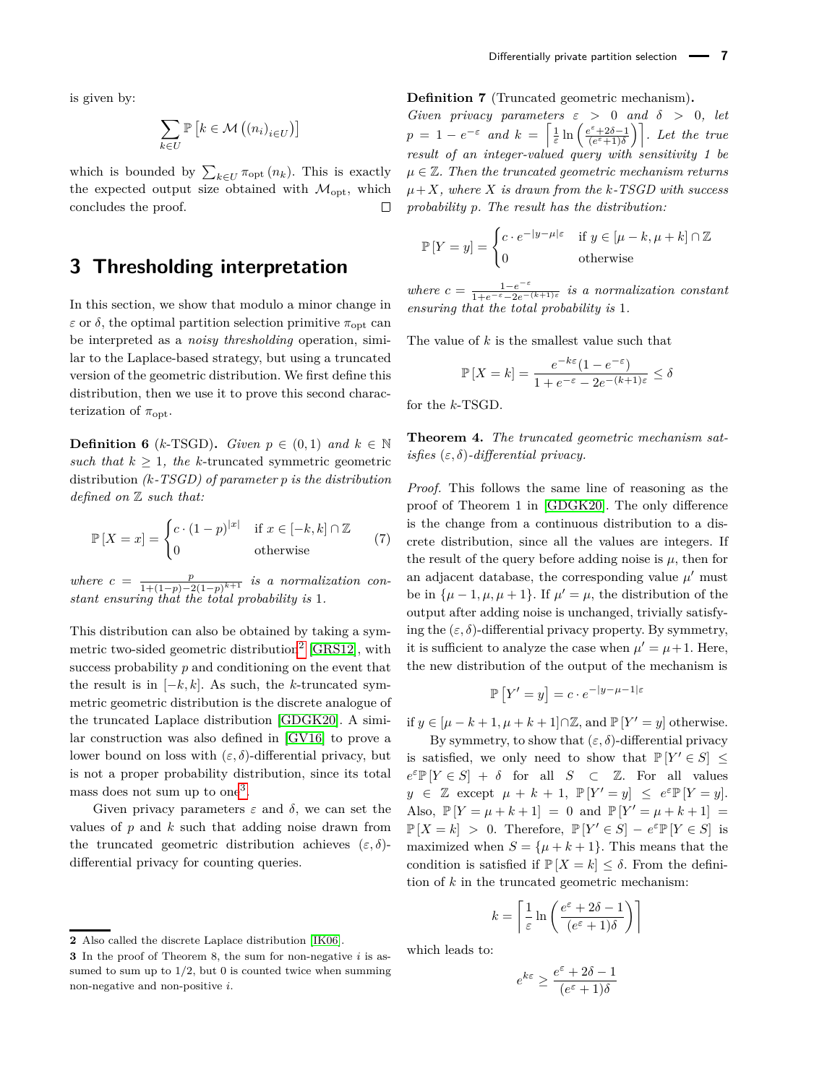$$
\sum_{k\in U}\mathbb{P}\left[k\in\mathcal{M}\left(\left(n_{i}\right)_{i\in U}\right)\right]
$$

which is bounded by  $\sum_{k \in U} \pi_{\text{opt}}(n_k)$ . This is exactly the expected output size obtained with  $\mathcal{M}_{\text{out}}$ , which concludes the proof. П

### **3 Thresholding interpretation**

In this section, we show that modulo a minor change in *ε* or *δ*, the optimal partition selection primitive  $\pi_{opt}$  can be interpreted as a *noisy thresholding* operation, similar to the Laplace-based strategy, but using a truncated version of the geometric distribution. We first define this distribution, then we use it to prove this second characterization of  $\pi_{\text{opt}}$ .

**Definition 6** (*k*-TSGD). *Given*  $p \in (0,1)$  *and*  $k \in \mathbb{N}$ *such that*  $k \geq 1$ *, the k*-truncated symmetric geometric distribution *(k-TSGD) of parameter p is the distribution defined on* Z *such that:*

$$
\mathbb{P}\left[X=x\right] = \begin{cases} c \cdot (1-p)^{|x|} & \text{if } x \in [-k, k] \cap \mathbb{Z} \\ 0 & \text{otherwise} \end{cases} \tag{7}
$$

*where*  $c = \frac{p}{1 + (1-p)^{-c}}$  $\frac{p}{1+(1-p)-2(1-p)^{k+1}}$  *is a normalization constant ensuring that the total probability is* 1*.*

This distribution can also be obtained by taking a sym-metric two-sided geometric distribution<sup>[2](#page-0-0)</sup> [\[GRS12\]](#page-13-19), with success probability *p* and conditioning on the event that the result is in  $[-k, k]$ . As such, the *k*-truncated symmetric geometric distribution is the discrete analogue of the truncated Laplace distribution [\[GDGK20\]](#page-13-20). A similar construction was also defined in [\[GV16\]](#page-13-21) to prove a lower bound on loss with  $(\varepsilon, \delta)$ -differential privacy, but is not a proper probability distribution, since its total mass does not sum up to one<sup>[3](#page-0-0)</sup>.

Given privacy parameters  $\varepsilon$  and  $\delta$ , we can set the values of *p* and *k* such that adding noise drawn from the truncated geometric distribution achieves  $(\varepsilon, \delta)$ differential privacy for counting queries.

<span id="page-6-1"></span>**Definition 7** (Truncated geometric mechanism)**.**

*Given privacy parameters*  $\varepsilon > 0$  *and*  $\delta > 0$ *, let*  $p = 1 - e^{-\varepsilon}$  *and*  $k = \left[\frac{1}{\varepsilon} \ln \left( \frac{e^{\varepsilon} + 2\delta - 1}{(e^{\varepsilon} + 1)\delta} \right)\right]$ *. Let the true result of an integer-valued query with sensitivity 1 be*  $\mu \in \mathbb{Z}$ . Then the truncated geometric mechanism returns  $\mu + X$ *, where X is drawn from the k*-*TSGD with success probability p. The result has the distribution:*

$$
\mathbb{P}\left[Y = y\right] = \begin{cases} c \cdot e^{-|y - \mu|\varepsilon} & \text{if } y \in [\mu - k, \mu + k] \cap \mathbb{Z} \\ 0 & \text{otherwise} \end{cases}
$$

*where*  $c = \frac{1-e^{-\varepsilon}}{1+e^{-\varepsilon}-2e^{-\varepsilon}}$ 1+*e*−*ε*−2*e*−(*k*+1)*<sup>ε</sup> is a normalization constant ensuring that the total probability is* 1*.*

The value of *k* is the smallest value such that

$$
\mathbb{P}\left[X=k\right] = \frac{e^{-k\varepsilon}(1 - e^{-\varepsilon})}{1 + e^{-\varepsilon} - 2e^{-(k+1)\varepsilon}} \le \delta
$$

for the *k*-TSGD.

<span id="page-6-0"></span>**Theorem 4.** *The truncated geometric mechanism satisfies* (*ε, δ*)*-differential privacy.*

*Proof.* This follows the same line of reasoning as the proof of Theorem 1 in [\[GDGK20\]](#page-13-20). The only difference is the change from a continuous distribution to a discrete distribution, since all the values are integers. If the result of the query before adding noise is  $\mu$ , then for an adjacent database, the corresponding value  $\mu'$  must be in  $\{\mu - 1, \mu, \mu + 1\}$ . If  $\mu' = \mu$ , the distribution of the output after adding noise is unchanged, trivially satisfying the  $(\varepsilon, \delta)$ -differential privacy property. By symmetry, it is sufficient to analyze the case when  $\mu' = \mu + 1$ . Here, the new distribution of the output of the mechanism is

$$
\mathbb{P}\left[Y'=y\right] = c \cdot e^{-|y-\mu-1|\varepsilon}
$$

if *y* ∈  $[\mu - k + 1, \mu + k + 1]$ ∩Z, and  $\mathbb{P}[Y' = y]$  otherwise.

By symmetry, to show that  $(\varepsilon, \delta)$ -differential privacy is satisfied, we only need to show that  $\mathbb{P}[Y' \in S] \leq$  $e^{\varepsilon} \mathbb{P}[Y \in S] + \delta$  for all *S* ⊂ Z. For all values  $y \in \mathbb{Z}$  except  $\mu + k + 1$ ,  $\mathbb{P}[Y' = y] \leq e^{\varepsilon} \mathbb{P}[Y = y].$ Also,  $\mathbb{P}[Y = \mu + k + 1] = 0$  and  $\mathbb{P}[Y' = \mu + k + 1] =$  $\mathbb{P}[X = k] > 0$ . Therefore,  $\mathbb{P}[Y' \in S] - e^{\varepsilon} \mathbb{P}[Y \in S]$  is maximized when  $S = {\mu + k + 1}$ . This means that the condition is satisfied if  $\mathbb{P}[X = k] \leq \delta$ . From the definition of *k* in the truncated geometric mechanism:

$$
k = \left\lceil \frac{1}{\varepsilon} \ln \left( \frac{e^{\varepsilon} + 2\delta - 1}{(e^{\varepsilon} + 1)\delta} \right) \right\rceil
$$

which leads to:

$$
e^{k\varepsilon}\geq \frac{e^{\varepsilon}+2\delta-1}{(e^{\varepsilon}+1)\delta}
$$

**<sup>2</sup>** Also called the discrete Laplace distribution [\[IK06\]](#page-13-22).

**<sup>3</sup>** In the proof of Theorem 8, the sum for non-negative *i* is assumed to sum up to  $1/2$ , but 0 is counted twice when summing non-negative and non-positive *i*.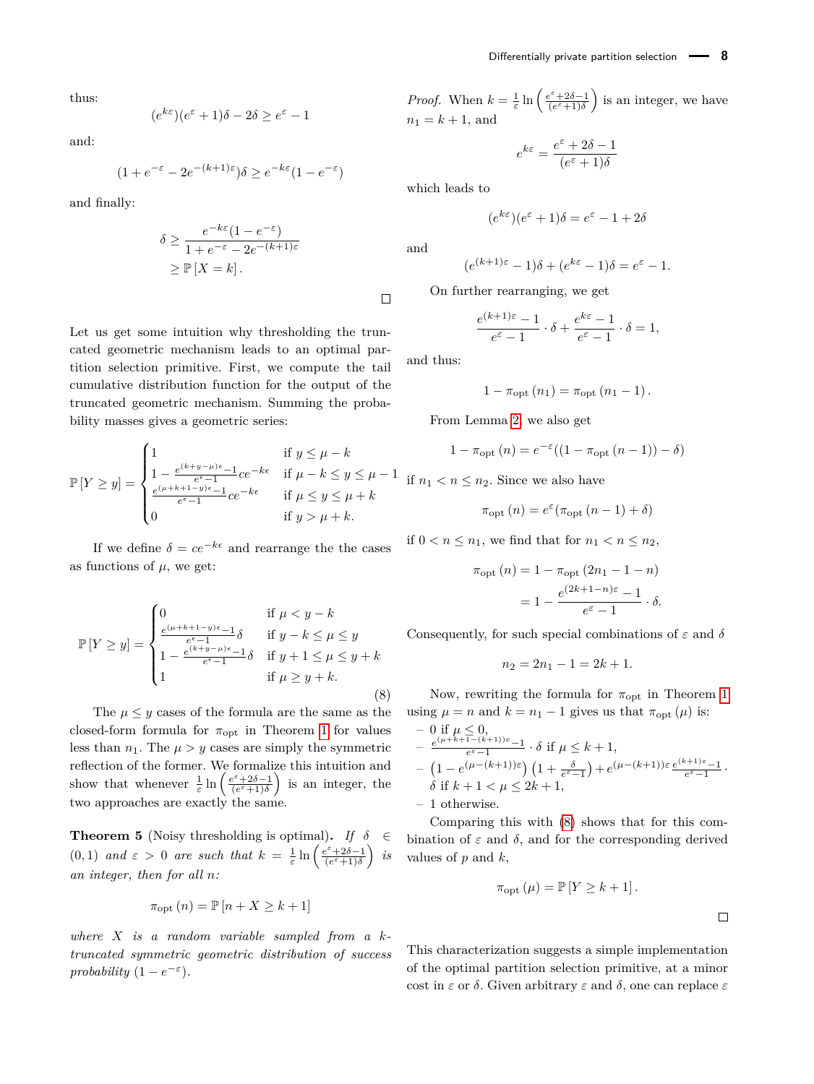thus:

$$
(e^{k\varepsilon})(e^{\varepsilon}+1)\delta - 2\delta \ge e^{\varepsilon} - 1
$$

and:

$$
(1 + e^{-\varepsilon} - 2e^{-(k+1)\varepsilon})\delta \ge e^{-k\varepsilon}(1 - e^{-\varepsilon})
$$

and finally:

$$
\delta \ge \frac{e^{-k\varepsilon}(1 - e^{-\varepsilon})}{1 + e^{-\varepsilon} - 2e^{-(k+1)\varepsilon}}
$$

$$
\ge \mathbb{P}[X = k].
$$

Let us get some intuition why thresholding the truncated geometric mechanism leads to an optimal partition selection primitive. First, we compute the tail cumulative distribution function for the output of the truncated geometric mechanism. Summing the probability masses gives a geometric series:

$$
\mathbb{P}\left[Y \ge y\right] = \begin{cases} 1 & \text{if } y \le \mu - k \\ 1 - \frac{e^{(k+y-\mu)\epsilon} - 1}{e^{\epsilon} - 1}ce^{-k\epsilon} & \text{if } \mu - k \le y \le \mu - 1 \\ \frac{e^{(\mu + k + 1 - y)\epsilon} - 1}{e^{\epsilon} - 1}ce^{-k\epsilon} & \text{if } \mu \le y \le \mu + k \\ 0 & \text{if } y > \mu + k. \end{cases}
$$

If we define  $\delta = ce^{-k\epsilon}$  and rearrange the the cases as functions of  $\mu$ , we get:

<span id="page-7-0"></span>
$$
\mathbb{P}\left[Y \ge y\right] = \begin{cases}\n0 & \text{if } \mu < y - k \\
\frac{e^{(\mu + k + 1 - y)\epsilon} - 1}{e^{\epsilon} - 1} \delta & \text{if } y - k \le \mu \le y \\
1 - \frac{e^{(k + y - \mu)\epsilon} - 1}{e^{\epsilon} - 1} \delta & \text{if } y + 1 \le \mu \le y + k \\
1 & \text{if } \mu \ge y + k.\n\end{cases}
$$
\n
$$
(8)
$$

The  $\mu \leq y$  cases of the formula are the same as the closed-form formula for  $\pi_{\text{opt}}$  in Theorem [1](#page-3-7) for values less than  $n_1$ . The  $\mu > y$  cases are simply the symmetric reflection of the former. We formalize this intuition and show that whenever  $\frac{1}{\varepsilon} \ln \left( \frac{e^{\varepsilon} + 2\delta - 1}{(e^{\varepsilon} + 1)\delta} \right)$  is an integer, the two approaches are exactly the same.

<span id="page-7-1"></span>**Theorem 5** (Noisy thresholding is optimal). *If*  $\delta \in$ (0,1) and  $\varepsilon > 0$  are such that  $k = \frac{1}{\varepsilon} \ln \left( \frac{e^{\varepsilon} + 2\delta - 1}{(e^{\varepsilon} + 1)\delta} \right)$  is *an integer, then for all n:*

$$
\pi_{\text{opt}}(n) = \mathbb{P}\left[n + X \ge k + 1\right]
$$

*where X is a random variable sampled from a ktruncated symmetric geometric distribution of success probability*  $(1 - e^{-\varepsilon})$ *.* 

*Proof.* When  $k = \frac{1}{\varepsilon} \ln \left( \frac{e^{\varepsilon} + 2\delta - 1}{(e^{\varepsilon} + 1)\delta} \right)$  is an integer, we have  $n_1 = k + 1$ , and

$$
e^{k\varepsilon} = \frac{e^{\varepsilon} + 2\delta - 1}{(e^{\varepsilon} + 1)\delta}
$$

which leads to

$$
(e^{k\varepsilon})(e^{\varepsilon}+1)\delta=e^{\varepsilon}-1+2\delta
$$

and

$$
(e^{(k+1)\varepsilon}-1)\delta + (e^{k\varepsilon}-1)\delta = e^{\varepsilon}-1.
$$

On further rearranging, we get

$$
\frac{e^{(k+1)\varepsilon}-1}{e^{\varepsilon}-1} \cdot \delta + \frac{e^{k\varepsilon}-1}{e^{\varepsilon}-1} \cdot \delta = 1,
$$

and thus:

$$
1 - \pi_{\text{opt}}(n_1) = \pi_{\text{opt}}(n_1 - 1).
$$

From Lemma [2,](#page-4-0) we also get

$$
1 - \pi_{\text{opt}}(n) = e^{-\varepsilon}((1 - \pi_{\text{opt}}(n-1)) - \delta)
$$

if  $n_1 < n < n_2$ . Since we also have

$$
\pi_{\text{opt}}(n) = e^{\varepsilon}(\pi_{\text{opt}}(n-1) + \delta)
$$

if  $0 < n \leq n_1$ , we find that for  $n_1 < n \leq n_2$ ,

$$
\pi_{\text{opt}}(n) = 1 - \pi_{\text{opt}}(2n_1 - 1 - n)
$$

$$
= 1 - \frac{e^{(2k+1-n)\varepsilon} - 1}{e^{\varepsilon} - 1} \cdot \delta.
$$

Consequently, for such special combinations of *ε* and *δ*

$$
n_2 = 2n_1 - 1 = 2k + 1.
$$

Now, rewriting the formula for  $\pi_{\text{opt}}$  in Theorem [1](#page-3-7) using  $\mu = n$  and  $k = n_1 - 1$  gives us that  $\pi_{\text{opt}}(\mu)$  is:

$$
\begin{array}{l} -\ 0 \ \text{if} \ \mu \leq 0, \\ -\ \frac{e^{(\mu + k + 1 - (k+1))\varepsilon}-1}{e^{\varepsilon}-1} \cdot \delta \ \text{if} \ \mu \leq k+1, \\ -\ \left(1 - e^{(\mu - (k+1))\varepsilon}\right)\left(1 + \frac{\delta}{e^{\varepsilon}-1}\right) + e^{(\mu - (k+1))\varepsilon}\frac{e^{(k+1)\varepsilon}-1}{e^{\varepsilon}-1} \cdot \\ \delta \ \text{if} \ k+1 < \mu \leq 2k+1, \end{array}
$$

– 1 otherwise.

Comparing this with [\(8\)](#page-7-0) shows that for this combination of  $\varepsilon$  and  $\delta$ , and for the corresponding derived values of *p* and *k*,

$$
\pi_{\mathrm{opt}}(\mu) = \mathbb{P}\left[Y \geq k+1\right].
$$

 $\Box$ 

This characterization suggests a simple implementation of the optimal partition selection primitive, at a minor cost in *ε* or *δ*. Given arbitrary *ε* and *δ*, one can replace *ε*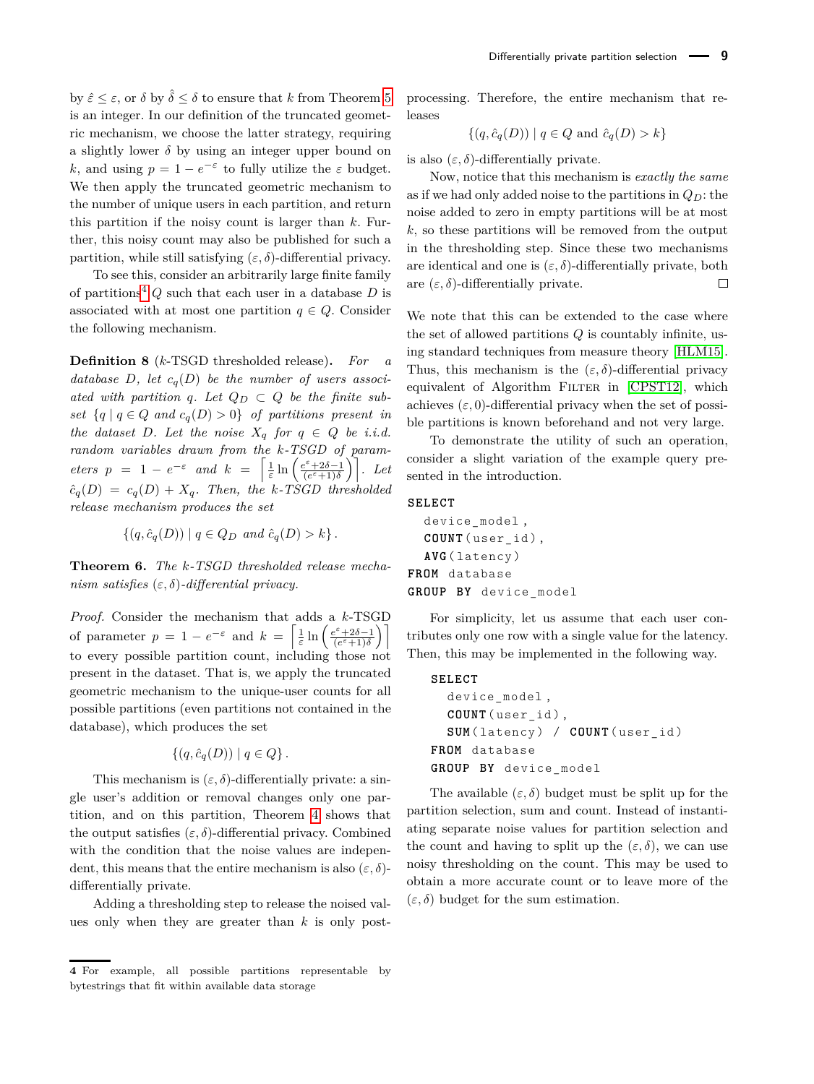by  $\hat{\varepsilon} \leq \varepsilon$ , or  $\delta$  by  $\hat{\delta} \leq \delta$  to ensure that *k* from Theorem [5](#page-7-1) is an integer. In our definition of the truncated geometric mechanism, we choose the latter strategy, requiring a slightly lower  $\delta$  by using an integer upper bound on *k*, and using  $p = 1 - e^{-\varepsilon}$  to fully utilize the  $\varepsilon$  budget. We then apply the truncated geometric mechanism to the number of unique users in each partition, and return this partition if the noisy count is larger than *k*. Further, this noisy count may also be published for such a partition, while still satisfying  $(\varepsilon, \delta)$ -differential privacy.

To see this, consider an arbitrarily large finite family of partitions<sup>[4](#page-0-0)</sup>  $Q$  such that each user in a database  $D$  is associated with at most one partition  $q \in Q$ . Consider the following mechanism.

**Definition 8** (*k*-TSGD thresholded release)**.** *For a database D*, let  $c_q(D)$  be the number of users associated with partition q. Let  $Q_D \subset Q$  be the finite sub*set*  $\{q \mid q \in Q \text{ and } c_q(D) > 0\}$  *of partitions present in the dataset D. Let the noise*  $X_q$  *for*  $q \in Q$  *be i.i.d. random variables drawn from the k-TSGD of parameters*  $p = 1 - e^{-\varepsilon}$  *and*  $k = \left[\frac{1}{\varepsilon} \ln \left( \frac{e^{\varepsilon} + 2\delta - 1}{(e^{\varepsilon} + 1)\delta} \right)\right]$ . Let  $\hat{c}_q(D) = c_q(D) + X_q$ *. Then, the k*-TSGD thresholded *release mechanism produces the set*

$$
\{(q, \hat{c}_q(D)) \mid q \in Q_D \text{ and } \hat{c}_q(D) > k\}.
$$

**Theorem 6.** *The k-TSGD thresholded release mechanism satisfies* (*ε, δ*)*-differential privacy.*

*Proof.* Consider the mechanism that adds a *k*-TSGD of parameter  $p = 1 - e^{-\varepsilon}$  and  $k = \left[\frac{1}{\varepsilon} \ln \left( \frac{e^{\varepsilon} + 2\delta - 1}{e^{\varepsilon} + 1)\delta} \right)\right]$ to every possible partition count, including those not present in the dataset. That is, we apply the truncated geometric mechanism to the unique-user counts for all possible partitions (even partitions not contained in the database), which produces the set

$$
\{(q,\hat{c}_q(D)) \mid q \in Q\}.
$$

This mechanism is  $(\varepsilon, \delta)$ -differentially private: a single user's addition or removal changes only one partition, and on this partition, Theorem [4](#page-6-0) shows that the output satisfies  $(\varepsilon, \delta)$ -differential privacy. Combined with the condition that the noise values are independent, this means that the entire mechanism is also  $(\varepsilon, \delta)$ differentially private.

Adding a thresholding step to release the noised values only when they are greater than *k* is only post-

processing. Therefore, the entire mechanism that releases

$$
\{(q, \hat{c}_q(D)) \mid q \in Q \text{ and } \hat{c}_q(D) > k\}
$$

is also  $(\varepsilon, \delta)$ -differentially private.

Now, notice that this mechanism is *exactly the same* as if we had only added noise to the partitions in  $Q_D$ : the noise added to zero in empty partitions will be at most *k*, so these partitions will be removed from the output in the thresholding step. Since these two mechanisms are identical and one is  $(\varepsilon, \delta)$ -differentially private, both are  $(\varepsilon, \delta)$ -differentially private.  $\Box$ 

We note that this can be extended to the case where the set of allowed partitions *Q* is countably infinite, using standard techniques from measure theory [\[HLM15\]](#page-13-23). Thus, this mechanism is the  $(\varepsilon, \delta)$ -differential privacy equivalent of Algorithm FILTER in  $[CPST12]$ , which achieves  $(\varepsilon, 0)$ -differential privacy when the set of possible partitions is known beforehand and not very large.

To demonstrate the utility of such an operation, consider a slight variation of the example query presented in the introduction.

#### **SELECT**

device\_model , **COUNT** ( user\_id ) , **AVG** ( latency ) **FROM** database **GROUP BY** device\_model

For simplicity, let us assume that each user contributes only one row with a single value for the latency. Then, this may be implemented in the following way.

# **SELECT**

```
device_model ,
  COUNT ( user_id ) ,
  SUM ( latency ) / COUNT ( user_id )
FROM database
GROUP BY device_model
```
The available  $(\varepsilon, \delta)$  budget must be split up for the partition selection, sum and count. Instead of instantiating separate noise values for partition selection and the count and having to split up the  $(\varepsilon, \delta)$ , we can use noisy thresholding on the count. This may be used to obtain a more accurate count or to leave more of the  $(\varepsilon, \delta)$  budget for the sum estimation.

**<sup>4</sup>** For example, all possible partitions representable by bytestrings that fit within available data storage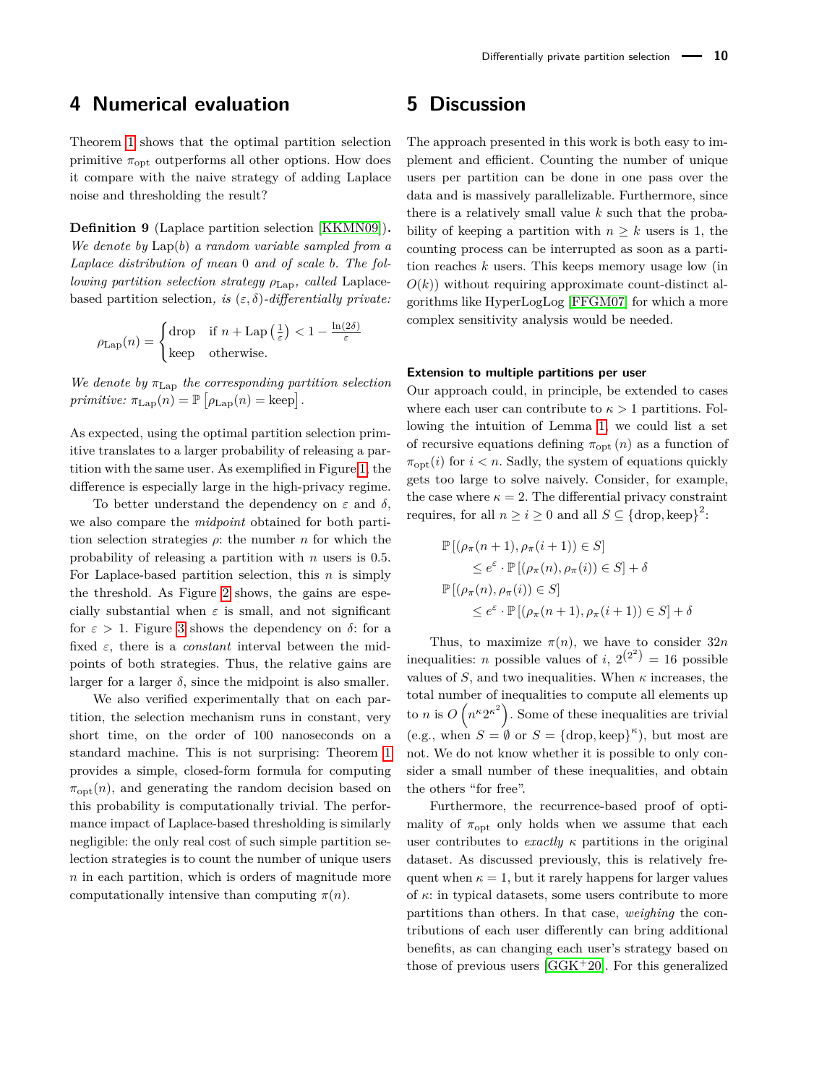### **4 Numerical evaluation**

Theorem [1](#page-3-7) shows that the optimal partition selection primitive  $\pi_{\text{opt}}$  outperforms all other options. How does it compare with the naive strategy of adding Laplace noise and thresholding the result?

**Definition 9** (Laplace partition selection [\[KKMN09\]](#page-13-1))**.** *We denote by* Lap(*b*) *a random variable sampled from a Laplace distribution of mean* 0 *and of scale b. The following partition selection strategy*  $ρ<sub>Lap</sub>$ *, called* Laplacebased partition selection, is  $(\varepsilon, \delta)$ -differentially private:

$$
\rho_{\text{Lap}}(n) = \begin{cases} \text{drop} & \text{if } n + \text{Lap}\left(\frac{1}{\varepsilon}\right) < 1 - \frac{\ln(2\delta)}{\varepsilon} \\ \text{keep} & \text{otherwise.} \end{cases}
$$

*We denote by π*Lap *the corresponding partition selection*  $primitive: \pi_{\text{Lap}}(n) = \mathbb{P}\left[\rho_{\text{Lap}}(n) = \text{keep}\right].$ 

As expected, using the optimal partition selection primitive translates to a larger probability of releasing a partition with the same user. As exemplified in Figure [1,](#page-10-0) the difference is especially large in the high-privacy regime.

To better understand the dependency on *ε* and *δ*, we also compare the *midpoint* obtained for both partition selection strategies  $\rho$ : the number *n* for which the probability of releasing a partition with *n* users is 0*.*5. For Laplace-based partition selection, this *n* is simply the threshold. As Figure [2](#page-10-1) shows, the gains are especially substantial when  $\varepsilon$  is small, and not significant for  $\varepsilon > 1$ . Figure [3](#page-10-2) shows the dependency on  $\delta$ : for a fixed *ε*, there is a *constant* interval between the midpoints of both strategies. Thus, the relative gains are larger for a larger  $\delta$ , since the midpoint is also smaller.

We also verified experimentally that on each partition, the selection mechanism runs in constant, very short time, on the order of 100 nanoseconds on a standard machine. This is not surprising: Theorem [1](#page-3-7) provides a simple, closed-form formula for computing  $\pi_{\text{opt}}(n)$ , and generating the random decision based on this probability is computationally trivial. The performance impact of Laplace-based thresholding is similarly negligible: the only real cost of such simple partition selection strategies is to count the number of unique users *n* in each partition, which is orders of magnitude more computationally intensive than computing  $\pi(n)$ .

### **5 Discussion**

The approach presented in this work is both easy to implement and efficient. Counting the number of unique users per partition can be done in one pass over the data and is massively parallelizable. Furthermore, since there is a relatively small value *k* such that the probability of keeping a partition with  $n \geq k$  users is 1, the counting process can be interrupted as soon as a partition reaches *k* users. This keeps memory usage low (in  $O(k)$ ) without requiring approximate count-distinct algorithms like HyperLogLog [\[FFGM07\]](#page-13-25) for which a more complex sensitivity analysis would be needed.

### **Extension to multiple partitions per user**

Our approach could, in principle, be extended to cases where each user can contribute to  $\kappa > 1$  partitions. Following the intuition of Lemma [1,](#page-3-6) we could list a set of recursive equations defining  $\pi_{\text{opt}}(n)$  as a function of  $\pi_{\text{opt}}(i)$  for  $i < n$ . Sadly, the system of equations quickly gets too large to solve naively. Consider, for example, the case where  $\kappa = 2$ . The differential privacy constraint requires, for all  $n \geq i \geq 0$  and all  $S \subseteq {\text{drop}, \text{keep}}^2$ :

$$
\mathbb{P}[(\rho_{\pi}(n+1), \rho_{\pi}(i+1)) \in S]
$$
  
\n
$$
\leq e^{\varepsilon} \cdot \mathbb{P}[(\rho_{\pi}(n), \rho_{\pi}(i)) \in S] + \delta
$$
  
\n
$$
\mathbb{P}[(\rho_{\pi}(n), \rho_{\pi}(i)) \in S]
$$
  
\n
$$
\leq e^{\varepsilon} \cdot \mathbb{P}[(\rho_{\pi}(n+1), \rho_{\pi}(i+1)) \in S] + \delta
$$

Thus, to maximize  $\pi(n)$ , we have to consider  $32n$ inequalities: *n* possible values of *i*,  $2^{(2^2)} = 16$  possible values of  $S$ , and two inequalities. When  $\kappa$  increases, the total number of inequalities to compute all elements up to *n* is  $O(n^{\kappa}2^{\kappa^2})$ . Some of these inequalities are trivial (e.g., when  $S = \emptyset$  or  $S = {\text{drop, keep}}^{\kappa}$ ), but most are not. We do not know whether it is possible to only consider a small number of these inequalities, and obtain the others "for free".

Furthermore, the recurrence-based proof of optimality of  $\pi_{\text{opt}}$  only holds when we assume that each user contributes to *exactly κ* partitions in the original dataset. As discussed previously, this is relatively frequent when  $\kappa = 1$ , but it rarely happens for larger values of *κ*: in typical datasets, some users contribute to more partitions than others. In that case, *weighing* the contributions of each user differently can bring additional benefits, as can changing each user's strategy based on those of previous users  $[GGK^+20]$  $[GGK^+20]$ . For this generalized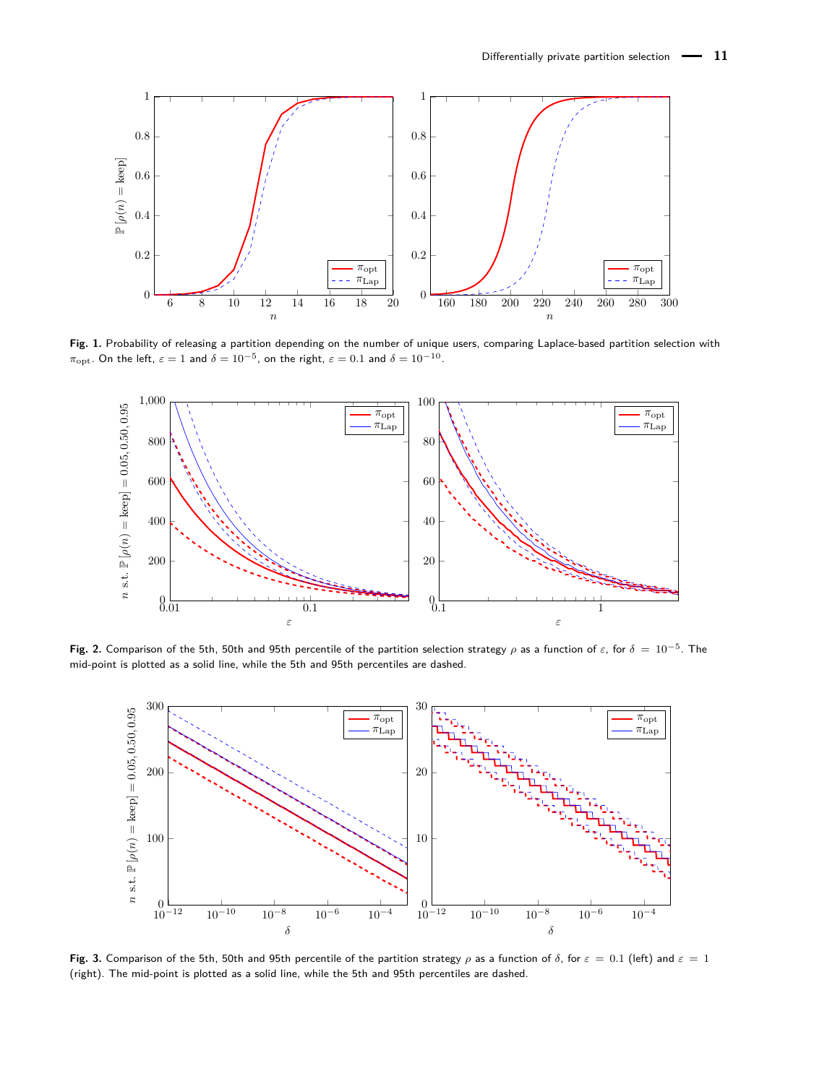<span id="page-10-0"></span>

**Fig. 1.** Probability of releasing a partition depending on the number of unique users, comparing Laplace-based partition selection with  $\pi_{\rm opt}$ . On the left,  $\varepsilon=1$  and  $\delta=10^{-5}$ , on the right,  $\varepsilon=0.1$  and  $\delta=10^{-10}$ .

<span id="page-10-1"></span>

**Fig. 2.** Comparison of the 5th, 50th and 95th percentile of the partition selection strategy *ρ* as a function of *ε*, for *δ* = 10−<sup>5</sup> . The mid-point is plotted as a solid line, while the 5th and 95th percentiles are dashed.

<span id="page-10-2"></span>

**Fig. 3.** Comparison of the 5th, 50th and 95th percentile of the partition strategy *ρ* as a function of *δ*, for *ε* = 0*.*1 (left) and *ε* = 1 (right). The mid-point is plotted as a solid line, while the 5th and 95th percentiles are dashed.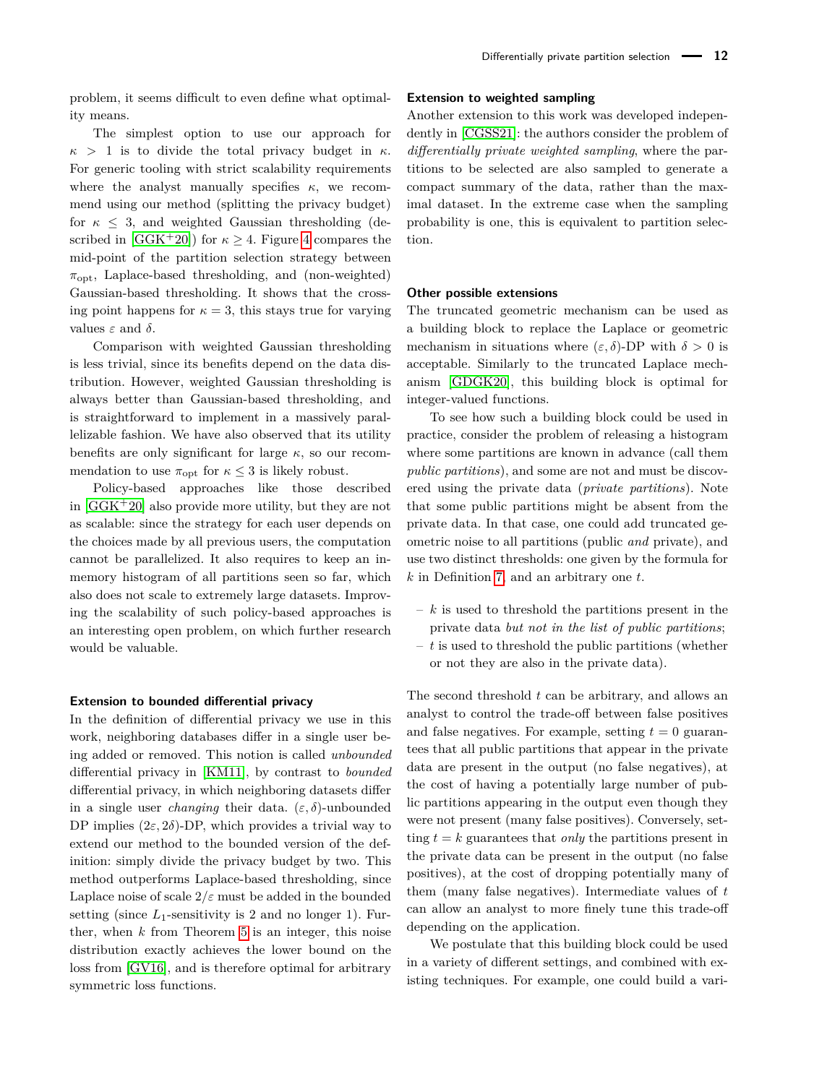problem, it seems difficult to even define what optimality means.

The simplest option to use our approach for  $\kappa > 1$  is to divide the total privacy budget in  $\kappa$ . For generic tooling with strict scalability requirements where the analyst manually specifies *κ*, we recommend using our method (splitting the privacy budget) for  $\kappa \leq 3$ , and weighted Gaussian thresholding (described in  $[GGK^+20]$  $[GGK^+20]$  for  $\kappa > 4$  $\kappa > 4$ . Figure 4 compares the mid-point of the partition selection strategy between  $\pi_{\text{opt}}$ , Laplace-based thresholding, and (non-weighted) Gaussian-based thresholding. It shows that the crossing point happens for  $\kappa = 3$ , this stays true for varying values  $\varepsilon$  and  $\delta$ .

Comparison with weighted Gaussian thresholding is less trivial, since its benefits depend on the data distribution. However, weighted Gaussian thresholding is always better than Gaussian-based thresholding, and is straightforward to implement in a massively parallelizable fashion. We have also observed that its utility benefits are only significant for large  $\kappa$ , so our recommendation to use  $\pi_{\text{opt}}$  for  $\kappa \leq 3$  is likely robust.

Policy-based approaches like those described in  $[GGK^+20]$  $[GGK^+20]$  also provide more utility, but they are not as scalable: since the strategy for each user depends on the choices made by all previous users, the computation cannot be parallelized. It also requires to keep an inmemory histogram of all partitions seen so far, which also does not scale to extremely large datasets. Improving the scalability of such policy-based approaches is an interesting open problem, on which further research would be valuable.

### **Extension to bounded differential privacy**

In the definition of differential privacy we use in this work, neighboring databases differ in a single user being added or removed. This notion is called *unbounded* differential privacy in [\[KM11\]](#page-13-26), by contrast to *bounded* differential privacy, in which neighboring datasets differ in a single user *changing* their data.  $(\varepsilon, \delta)$ -unbounded DP implies  $(2\varepsilon, 2\delta)$ -DP, which provides a trivial way to extend our method to the bounded version of the definition: simply divide the privacy budget by two. This method outperforms Laplace-based thresholding, since Laplace noise of scale  $2/\varepsilon$  must be added in the bounded setting (since  $L_1$ -sensitivity is 2 and no longer 1). Further, when  $k$  from Theorem  $5$  is an integer, this noise distribution exactly achieves the lower bound on the loss from [\[GV16\]](#page-13-21), and is therefore optimal for arbitrary symmetric loss functions.

### **Extension to weighted sampling**

Another extension to this work was developed independently in [\[CGSS21\]](#page-12-3): the authors consider the problem of *differentially private weighted sampling*, where the partitions to be selected are also sampled to generate a compact summary of the data, rather than the maximal dataset. In the extreme case when the sampling probability is one, this is equivalent to partition selection.

#### **Other possible extensions**

The truncated geometric mechanism can be used as a building block to replace the Laplace or geometric mechanism in situations where  $(\varepsilon, \delta)$ -DP with  $\delta > 0$  is acceptable. Similarly to the truncated Laplace mechanism [\[GDGK20\]](#page-13-20), this building block is optimal for integer-valued functions.

To see how such a building block could be used in practice, consider the problem of releasing a histogram where some partitions are known in advance (call them *public partitions*), and some are not and must be discovered using the private data (*private partitions*). Note that some public partitions might be absent from the private data. In that case, one could add truncated geometric noise to all partitions (public *and* private), and use two distinct thresholds: one given by the formula for *k* in Definition [7,](#page-6-1) and an arbitrary one *t*.

- *k* is used to threshold the partitions present in the private data *but not in the list of public partitions*;
- *t* is used to threshold the public partitions (whether or not they are also in the private data).

The second threshold *t* can be arbitrary, and allows an analyst to control the trade-off between false positives and false negatives. For example, setting  $t = 0$  guarantees that all public partitions that appear in the private data are present in the output (no false negatives), at the cost of having a potentially large number of public partitions appearing in the output even though they were not present (many false positives). Conversely, setting  $t = k$  guarantees that *only* the partitions present in the private data can be present in the output (no false positives), at the cost of dropping potentially many of them (many false negatives). Intermediate values of *t* can allow an analyst to more finely tune this trade-off depending on the application.

We postulate that this building block could be used in a variety of different settings, and combined with existing techniques. For example, one could build a vari-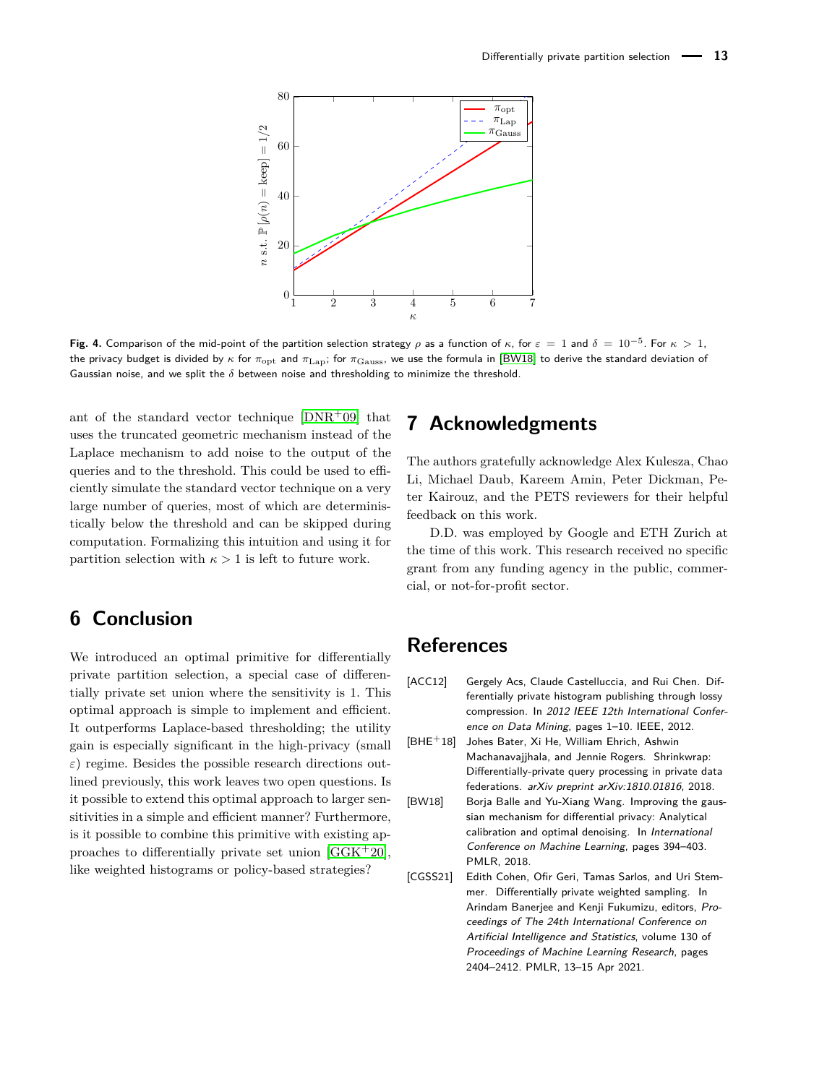<span id="page-12-2"></span>

**Fig. 4.** Comparison of the mid-point of the partition selection strategy *ρ* as a function of *κ*, for  $\varepsilon = 1$  and  $\delta = 10^{-5}$ . For  $\kappa > 1$ , the privacy budget is divided by *κ* for  $\pi_{\text{opt}}$  and  $\pi_{\text{Lap}}$ ; for  $\pi_{\text{Gauss}}$ , we use the formula in [\[BW18\]](#page-12-4) to derive the standard deviation of Gaussian noise, and we split the *δ* between noise and thresholding to minimize the threshold.

ant of the standard vector technique  $[DNR^+09]$  $[DNR^+09]$  that uses the truncated geometric mechanism instead of the Laplace mechanism to add noise to the output of the queries and to the threshold. This could be used to efficiently simulate the standard vector technique on a very large number of queries, most of which are deterministically below the threshold and can be skipped during computation. Formalizing this intuition and using it for partition selection with  $\kappa > 1$  is left to future work.

## **6 Conclusion**

We introduced an optimal primitive for differentially private partition selection, a special case of differentially private set union where the sensitivity is 1. This optimal approach is simple to implement and efficient. It outperforms Laplace-based thresholding; the utility gain is especially significant in the high-privacy (small  $\varepsilon$ ) regime. Besides the possible research directions outlined previously, this work leaves two open questions. Is it possible to extend this optimal approach to larger sensitivities in a simple and efficient manner? Furthermore, is it possible to combine this primitive with existing approaches to differentially private set union  $[GGK^+20]$  $[GGK^+20]$ , like weighted histograms or policy-based strategies?

### **7 Acknowledgments**

The authors gratefully acknowledge Alex Kulesza, Chao Li, Michael Daub, Kareem Amin, Peter Dickman, Peter Kairouz, and the PETS reviewers for their helpful feedback on this work.

D.D. was employed by Google and ETH Zurich at the time of this work. This research received no specific grant from any funding agency in the public, commercial, or not-for-profit sector.

### **References**

- <span id="page-12-0"></span>[ACC12] Gergely Acs, Claude Castelluccia, and Rui Chen. Differentially private histogram publishing through lossy compression. In 2012 IEEE 12th International Conference on Data Mining, pages 1–10. IEEE, 2012.
- <span id="page-12-1"></span>[BHE+18] Johes Bater, Xi He, William Ehrich, Ashwin Machanavajjhala, and Jennie Rogers. Shrinkwrap: Differentially-private query processing in private data federations. arXiv preprint arXiv:1810.01816, 2018.
- <span id="page-12-4"></span>[BW18] Borja Balle and Yu-Xiang Wang. Improving the gaussian mechanism for differential privacy: Analytical calibration and optimal denoising. In International Conference on Machine Learning, pages 394–403. PMLR, 2018.
- <span id="page-12-3"></span>[CGSS21] Edith Cohen, Ofir Geri, Tamas Sarlos, and Uri Stemmer. Differentially private weighted sampling. In Arindam Banerjee and Kenji Fukumizu, editors, Proceedings of The 24th International Conference on Artificial Intelligence and Statistics, volume 130 of Proceedings of Machine Learning Research, pages 2404–2412. PMLR, 13–15 Apr 2021.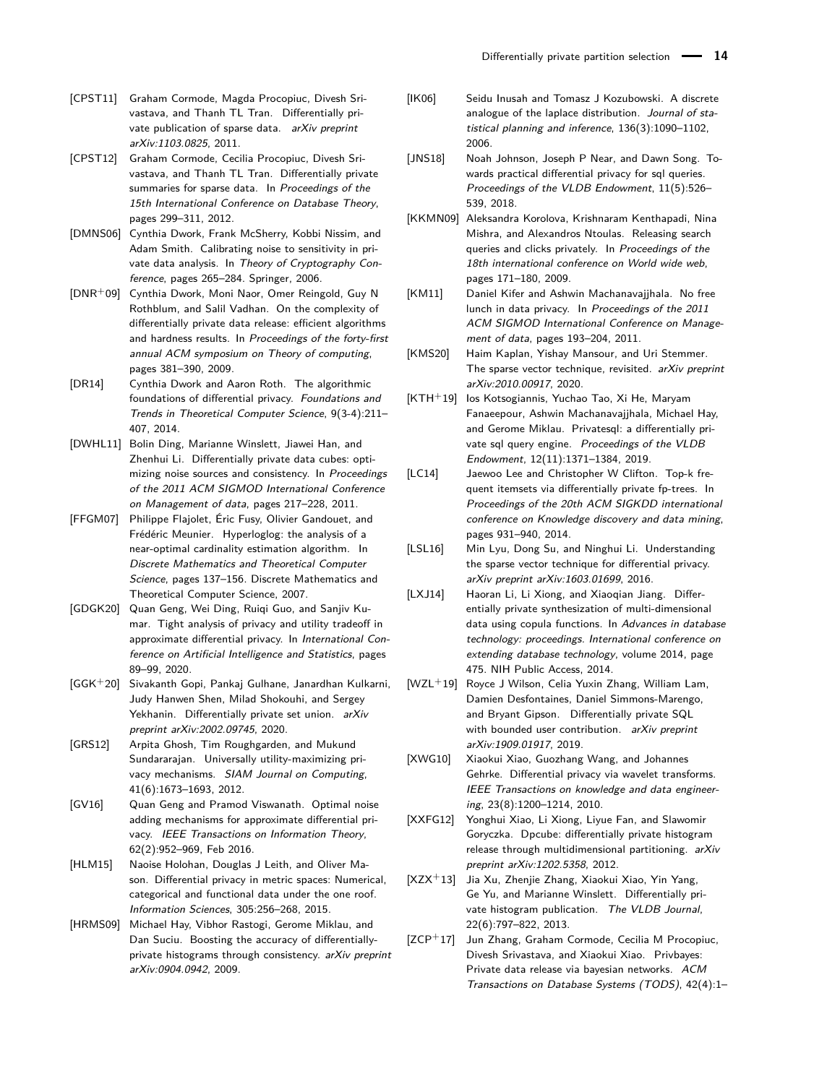- <span id="page-13-10"></span>[CPST11] Graham Cormode, Magda Procopiuc, Divesh Srivastava, and Thanh TL Tran. Differentially private publication of sparse data. arXiv preprint arXiv:1103.0825, 2011.
- <span id="page-13-24"></span>[CPST12] Graham Cormode, Cecilia Procopiuc, Divesh Srivastava, and Thanh TL Tran. Differentially private summaries for sparse data. In Proceedings of the 15th International Conference on Database Theory, pages 299–311, 2012.
- <span id="page-13-18"></span>[DMNS06] Cynthia Dwork, Frank McSherry, Kobbi Nissim, and Adam Smith. Calibrating noise to sensitivity in private data analysis. In Theory of Cryptography Conference, pages 265–284. Springer, 2006.
- <span id="page-13-11"></span>[DNR+09] Cynthia Dwork, Moni Naor, Omer Reingold, Guy N Rothblum, and Salil Vadhan. On the complexity of differentially private data release: efficient algorithms and hardness results. In Proceedings of the forty-first annual ACM symposium on Theory of computing, pages 381–390, 2009.
- <span id="page-13-12"></span>[DR14] Cynthia Dwork and Aaron Roth. The algorithmic foundations of differential privacy. Foundations and Trends in Theoretical Computer Science, 9(3-4):211– 407, 2014.
- <span id="page-13-4"></span>[DWHL11] Bolin Ding, Marianne Winslett, Jiawei Han, and Zhenhui Li. Differentially private data cubes: optimizing noise sources and consistency. In Proceedings of the 2011 ACM SIGMOD International Conference on Management of data, pages 217–228, 2011.
- <span id="page-13-25"></span>[FFGM07] Philippe Flajolet, Éric Fusy, Olivier Gandouet, and Frédéric Meunier. Hyperloglog: the analysis of a near-optimal cardinality estimation algorithm. In Discrete Mathematics and Theoretical Computer Science, pages 137–156. Discrete Mathematics and Theoretical Computer Science, 2007.
- <span id="page-13-20"></span>[GDGK20] Quan Geng, Wei Ding, Ruiqi Guo, and Sanjiv Kumar. Tight analysis of privacy and utility tradeoff in approximate differential privacy. In International Conference on Artificial Intelligence and Statistics, pages 89–99, 2020.
- <span id="page-13-0"></span>[GGK+20] Sivakanth Gopi, Pankaj Gulhane, Janardhan Kulkarni, Judy Hanwen Shen, Milad Shokouhi, and Sergey Yekhanin. Differentially private set union. arXiv preprint arXiv:2002.09745, 2020.
- <span id="page-13-19"></span>[GRS12] Arpita Ghosh, Tim Roughgarden, and Mukund Sundararajan. Universally utility-maximizing privacy mechanisms. SIAM Journal on Computing, 41(6):1673–1693, 2012.
- <span id="page-13-21"></span>[GV16] Quan Geng and Pramod Viswanath. Optimal noise adding mechanisms for approximate differential privacy. IEEE Transactions on Information Theory, 62(2):952–969, Feb 2016.
- <span id="page-13-23"></span>[HLM15] Naoise Holohan, Douglas J Leith, and Oliver Mason. Differential privacy in metric spaces: Numerical, categorical and functional data under the one roof. Information Sciences, 305:256–268, 2015.
- <span id="page-13-3"></span>[HRMS09] Michael Hay, Vibhor Rastogi, Gerome Miklau, and Dan Suciu. Boosting the accuracy of differentiallyprivate histograms through consistency. arXiv preprint arXiv:0904.0942, 2009.
- <span id="page-13-22"></span>[IK06] Seidu Inusah and Tomasz J Kozubowski. A discrete analogue of the laplace distribution. Journal of statistical planning and inference, 136(3):1090–1102, 2006.
- <span id="page-13-16"></span>[JNS18] Noah Johnson, Joseph P Near, and Dawn Song. Towards practical differential privacy for sql queries. Proceedings of the VLDB Endowment, 11(5):526– 539, 2018.
- <span id="page-13-1"></span>[KKMN09] Aleksandra Korolova, Krishnaram Kenthapadi, Nina Mishra, and Alexandros Ntoulas. Releasing search queries and clicks privately. In Proceedings of the 18th international conference on World wide web, pages 171–180, 2009.
- <span id="page-13-26"></span>[KM11] Daniel Kifer and Ashwin Machanavaiihala. No free lunch in data privacy. In Proceedings of the 2011 ACM SIGMOD International Conference on Management of data, pages 193–204, 2011.
- <span id="page-13-15"></span>[KMS20] Haim Kaplan, Yishay Mansour, and Uri Stemmer. The sparse vector technique, revisited. arXiv preprint arXiv:2010.00917, 2020.
- <span id="page-13-17"></span>[KTH+19] Ios Kotsogiannis, Yuchao Tao, Xi He, Maryam Fanaeepour, Ashwin Machanavajjhala, Michael Hay, and Gerome Miklau. Privatesql: a differentially private sql query engine. Proceedings of the VLDB Endowment, 12(11):1371–1384, 2019.
- <span id="page-13-13"></span>[LC14] Jaewoo Lee and Christopher W Clifton. Top-k frequent itemsets via differentially private fp-trees. In Proceedings of the 20th ACM SIGKDD international conference on Knowledge discovery and data mining, pages 931–940, 2014.
- <span id="page-13-14"></span>[LSL16] Min Lyu, Dong Su, and Ninghui Li. Understanding the sparse vector technique for differential privacy. arXiv preprint arXiv:1603.01699, 2016.
- <span id="page-13-9"></span>[LXJ14] Haoran Li, Li Xiong, and Xiaoqian Jiang. Differentially private synthesization of multi-dimensional data using copula functions. In Advances in database technology: proceedings. International conference on extending database technology, volume 2014, page 475. NIH Public Access, 2014.
- <span id="page-13-2"></span>[WZL+19] Royce J Wilson, Celia Yuxin Zhang, William Lam, Damien Desfontaines, Daniel Simmons-Marengo, and Bryant Gipson. Differentially private SQL with bounded user contribution. arXiv preprint arXiv:1909.01917, 2019.
- <span id="page-13-5"></span>[XWG10] Xiaokui Xiao, Guozhang Wang, and Johannes Gehrke. Differential privacy via wavelet transforms. IEEE Transactions on knowledge and data engineering, 23(8):1200–1214, 2010.
- <span id="page-13-6"></span>[XXFG12] Yonghui Xiao, Li Xiong, Liyue Fan, and Slawomir Goryczka. Dpcube: differentially private histogram release through multidimensional partitioning. arXiv preprint arXiv:1202.5358, 2012.
- <span id="page-13-7"></span>[XZX+13] Jia Xu, Zhenjie Zhang, Xiaokui Xiao, Yin Yang, Ge Yu, and Marianne Winslett. Differentially private histogram publication. The VLDB Journal, 22(6):797–822, 2013.
- <span id="page-13-8"></span>[ZCP+17] Jun Zhang, Graham Cormode, Cecilia M Procopiuc, Divesh Srivastava, and Xiaokui Xiao. Privbayes: Private data release via bayesian networks. ACM Transactions on Database Systems (TODS), 42(4):1–